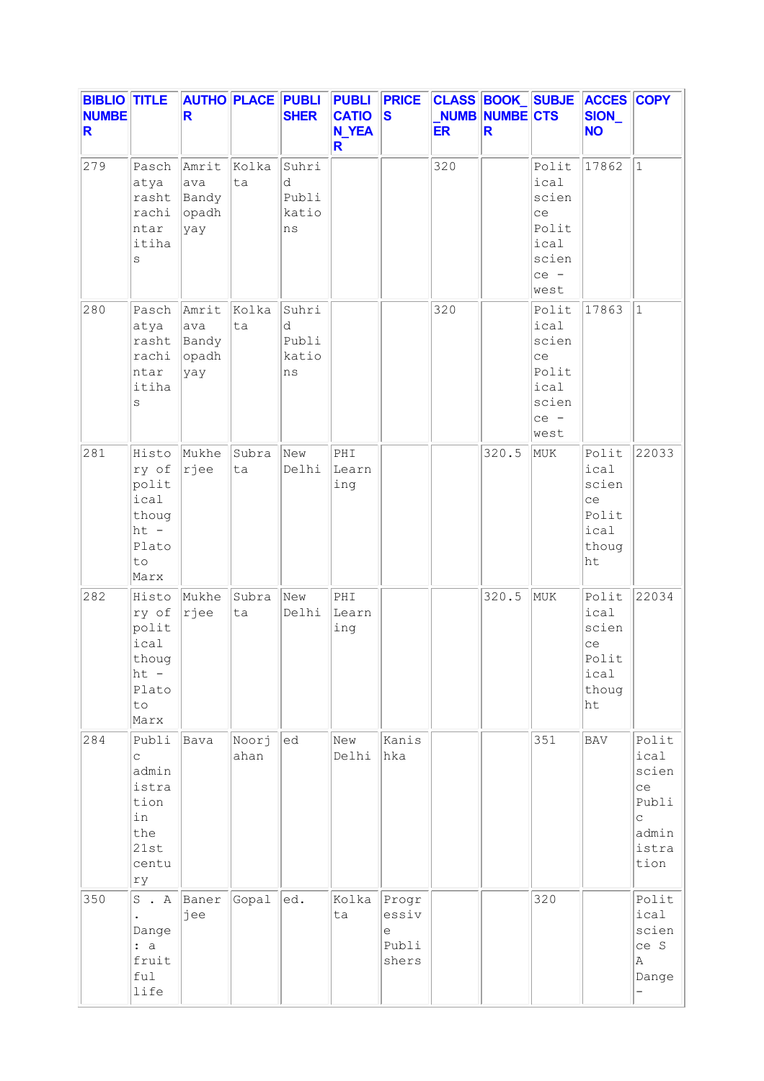| <b>BIBLIO TITLE</b><br><b>NUMBE</b><br>R |                                                                                     | R                                     |               | <b>AUTHO PLACE PUBLI</b><br><b>SHER</b> | <b>PUBLI</b><br><b>CATIO</b><br><b>N_YEA</b><br>R. | <b>PRICE</b><br><b>S</b>              | <b>ER</b> | NUMB NUMBE CTS<br>R. |                                                                          | CLASS BOOK SUBJE ACCES COPY<br>SION_<br><b>NO</b>            |                                                                      |
|------------------------------------------|-------------------------------------------------------------------------------------|---------------------------------------|---------------|-----------------------------------------|----------------------------------------------------|---------------------------------------|-----------|----------------------|--------------------------------------------------------------------------|--------------------------------------------------------------|----------------------------------------------------------------------|
| 279                                      | Pasch<br>atya<br>rasht<br>rachi<br>ntar<br>itiha<br>S                               | Amrit<br>ava<br>Bandy<br>opadh<br>yay | Kolka<br>ta   | Suhri<br>d<br>Publi<br>katio<br>ns      |                                                    |                                       | 320       |                      | Polit<br>ical<br>scien<br>ce<br>Polit<br>ical<br>scien<br>$ce -$<br>west | 17862                                                        | $\mathbf{1}$                                                         |
| 280                                      | Pasch<br>atya<br>rasht<br>rachi<br>ntar<br>itiha<br>S                               | Amrit<br>ava<br>Bandy<br>opadh<br>yay | Kolka<br>ta   | Suhri<br>d<br>Publi<br>katio<br>ns      |                                                    |                                       | 320       |                      | Polit<br>ical<br>scien<br>ce<br>Polit<br>ical<br>scien<br>ce -<br>west   | 17863                                                        | $\mathbf{1}$                                                         |
| 281                                      | Histo<br>ry of<br>polit<br>ical<br>thoug<br>$ht -$<br>Plato<br>to<br>Marx           | Mukhe<br> rjee                        | Subra<br>ta   | New<br>Delhi                            | PHI<br>Learn<br>ing                                |                                       |           | 320.5                | MUK                                                                      | Polit<br>ical<br>scien<br>ce<br>Polit<br>ical<br>thoug<br>ht | 22033                                                                |
| 282                                      | Histo<br>ry of<br>polit<br>ical<br>thoug<br>$ht -$<br>Plato<br>to<br>Marx           | Mukhe<br> rjee                        | Subra<br>ta   | New<br>Delhi                            | PHI<br>Learn<br>ing                                |                                       |           | 320.5                | MUK                                                                      | Polit<br>ical<br>scien<br>ce<br>Polit<br>ical<br>thoug<br>ht | 22034                                                                |
| 284                                      | Publi<br>$\mathsf{C}$<br>admin<br>istra<br>tion<br>in<br>the<br>21st<br>centu<br>ry | Bava                                  | Noorj<br>ahan | ed                                      | New<br>Delhi                                       | Kanis<br>hka                          |           |                      | 351                                                                      | <b>BAV</b>                                                   | Polit<br>ical<br>scien<br>ce<br>Publi<br>C<br>admin<br>istra<br>tion |
| 350                                      | S.A<br>$\ddot{\phantom{0}}$<br>Dange<br>: a<br>fruit<br>ful<br>life                 | Baner<br>jee                          | Gopal         | ed.                                     | Kolka<br>ta                                        | Progr<br>essiv<br>е<br>Publi<br>shers |           |                      | 320                                                                      |                                                              | Polit<br>ical<br>scien<br>ce S<br>Α<br>Dange                         |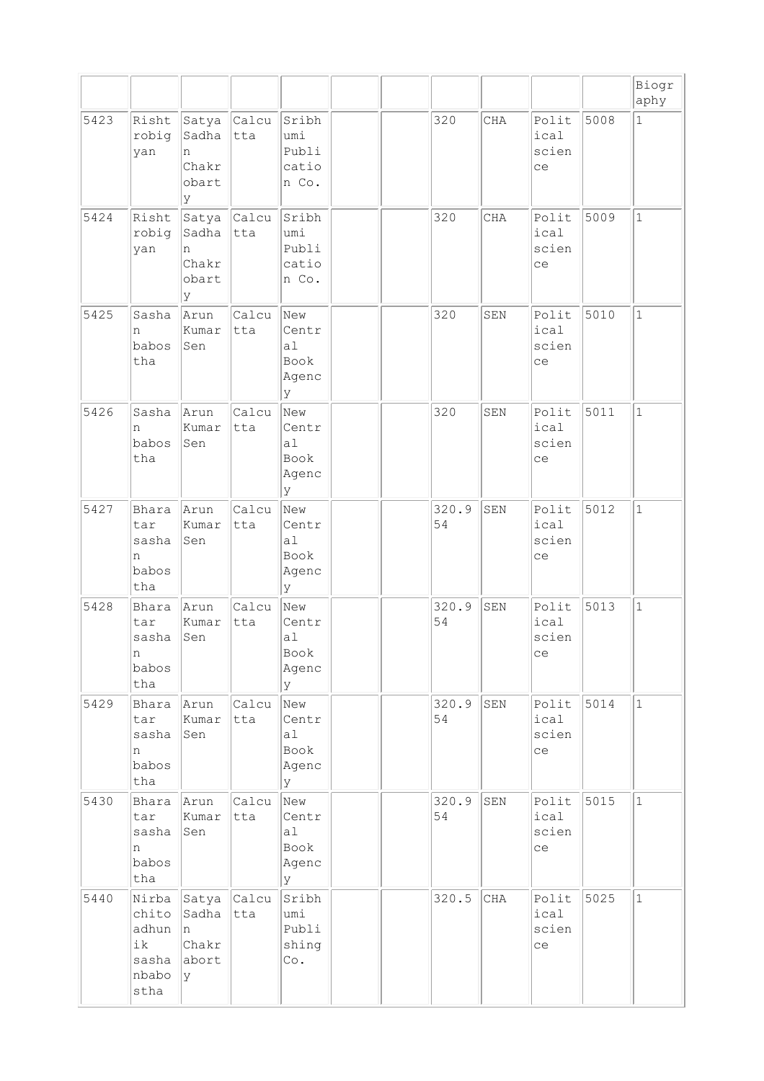|      |                                                         |                                            |              |                                                      |  |             |            |                              |      | Biogr<br>aphy |
|------|---------------------------------------------------------|--------------------------------------------|--------------|------------------------------------------------------|--|-------------|------------|------------------------------|------|---------------|
| 5423 | Risht<br>robig<br>yan                                   | Satya<br>Sadha<br>n<br>Chakr<br>obart<br>У | Calcu<br>tta | Sribh<br>umi<br>Publi<br>catio<br>n Co.              |  | 320         | <b>CHA</b> | Polit<br>ical<br>scien<br>ce | 5008 | $\mathbf{1}$  |
| 5424 | Risht<br>robig<br>yan                                   | Satya<br>Sadha<br>n<br>Chakr<br>obart<br>У | Calcu<br>tta | Sribh<br>umi<br>Publi<br>catio<br>n Co.              |  | 320         | CHA        | Polit<br>ical<br>scien<br>ce | 5009 | $\mathbf{1}$  |
| 5425 | Sasha<br>n<br>babos<br>tha                              | Arun<br>Kumar<br>Sen                       | Calcu<br>tta | New<br>Centr<br>a <sub>1</sub><br>Book<br>Agenc<br>У |  | 320         | SEN        | Polit<br>ical<br>scien<br>ce | 5010 | $\mathbf{1}$  |
| 5426 | Sasha<br>n<br>babos<br>tha                              | Arun<br>Kumar<br>Sen                       | Calcu<br>tta | New<br>Centr<br>a <sub>1</sub><br>Book<br>Agenc<br>У |  | 320         | SEN        | Polit<br>ical<br>scien<br>ce | 5011 | $\mathbf{1}$  |
| 5427 | Bhara<br>tar<br>sasha<br>n<br>babos<br>tha              | Arun<br>Kumar<br>Sen                       | Calcu<br>tta | New<br>Centr<br>a1<br>Book<br>Agenc<br>У             |  | 320.9<br>54 | SEN        | Polit<br>ical<br>scien<br>ce | 5012 | $\mathbf{1}$  |
| 5428 | Bhara<br>tar<br>sasha<br>n<br>babos<br>tha              | Arun<br>Kumar<br>Sen                       | Calcu<br>tta | New<br>Centr<br>al<br>Book<br>Agenc<br>У             |  | 320.9<br>54 | SEN        | Polit<br>ical<br>scien<br>ce | 5013 | $\mathbf{1}$  |
| 5429 | Bhara<br>tar<br>sasha<br>n<br>babos<br>tha              | Arun<br>Kumar<br>Sen                       | Calcu<br>tta | New<br>Centr<br>al<br>Book<br>Agenc<br>У             |  | 320.9<br>54 | SEN        | Polit<br>ical<br>scien<br>ce | 5014 | $\mathbf{1}$  |
| 5430 | Bhara<br>tar<br>sasha<br>n<br>babos<br>tha              | Arun<br>Kumar<br>Sen                       | Calcu<br>tta | New<br>Centr<br>al<br>Book<br>Agenc<br>У             |  | 320.9<br>54 | SEN        | Polit<br>ical<br>scien<br>ce | 5015 | $\mathbf{1}$  |
| 5440 | Nirba<br>chito<br>adhun<br>ik<br>sasha<br>nbabo<br>stha | Satya<br>Sadha<br>n<br>Chakr<br>abort<br>У | Calcu<br>tta | Sribh<br>umi<br>Publi<br>shing<br>$\circ$ .          |  | 320.5       | $\rm CHA$  | Polit<br>ical<br>scien<br>ce | 5025 | $\mathbf{1}$  |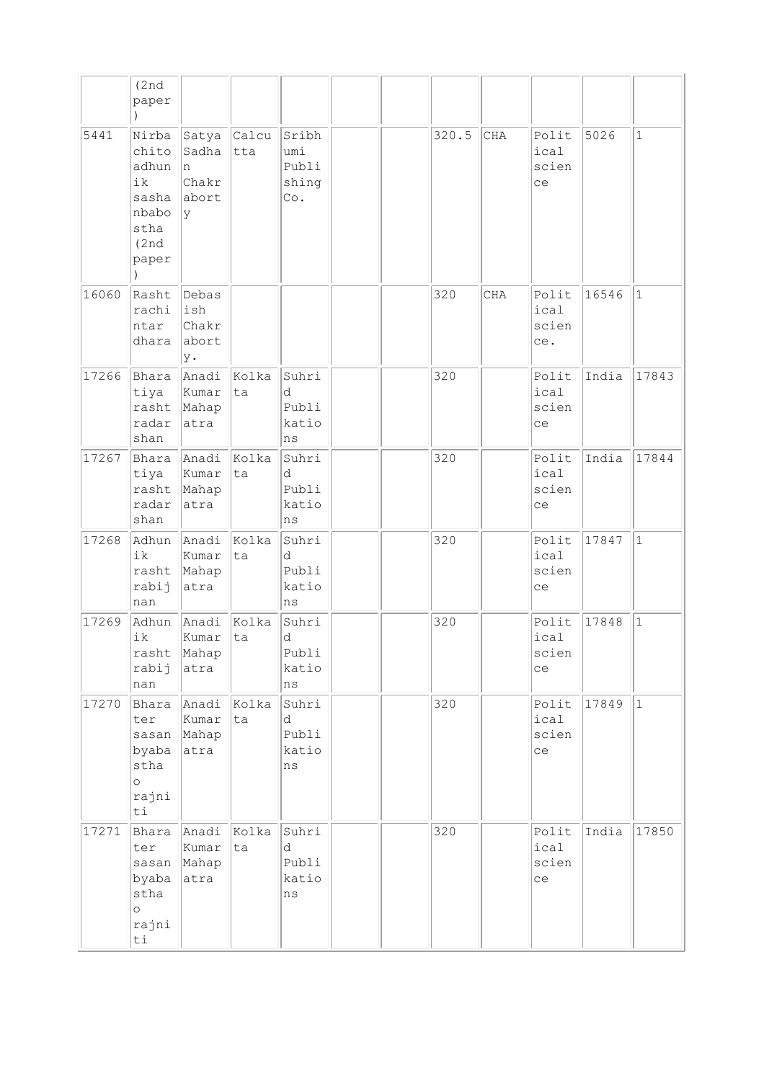|       | (2nd)<br>paper                                                            |                                               |              |                                       |  |       |            |                               |       |              |
|-------|---------------------------------------------------------------------------|-----------------------------------------------|--------------|---------------------------------------|--|-------|------------|-------------------------------|-------|--------------|
| 5441  | Nirba<br>chito<br>adhun<br>ik<br>sasha<br>nbabo<br>stha<br>(2nd)<br>paper | Satya<br>Sadha<br>In.<br>Chakr<br>abort<br>Ιy | Calcu<br>tta | Sribh<br>umi<br>Publi<br>shing<br>Co. |  | 320.5 | CHA        | Polit<br>ical<br>scien<br>ce  | 5026  | $\mathbf{1}$ |
| 16060 | Rasht<br>rachi<br>ntar<br>dhara                                           | Debas<br>ish<br>Chakr<br>abort<br>y.          |              |                                       |  | 320   | <b>CHA</b> | Polit<br>ical<br>scien<br>ce. | 16546 | $\mathbf{1}$ |
| 17266 | Bhara<br>tiya<br>rasht<br>radar<br>shan                                   | Anadi<br>Kumar<br>Mahap<br>atra               | Kolka<br>lta | Suhri<br>d<br>Publi<br>katio<br>ns    |  | 320   |            | Polit<br>ical<br>scien<br>ce  | India | 17843        |
| 17267 | Bhara<br>tiya<br>rasht<br>radar<br>shan                                   | Anadi<br>Kumar<br>Mahap<br>atra               | Kolka<br> ta | Suhri<br>d<br>Publi<br>katio<br>ns    |  | 320   |            | Polit<br>ical<br>scien<br>ce  | India | 17844        |
| 17268 | Adhun<br>ik<br>rasht<br>rabij<br>nan                                      | Anadi<br>Kumar<br>Mahap<br>atra               | Kolka<br>ta  | Suhri<br>d<br>Publi<br>katio<br>ns    |  | 320   |            | Polit<br>ical<br>scien<br>ce  | 17847 | $\mathbf{1}$ |
| 17269 | Adhun<br>ik<br>rasht<br>rabij<br>nan                                      | Anadi<br>Kumar<br>Mahap<br>atra               | Kolka<br>ta  | Suhri<br>d<br>Publi<br>katio<br>ns    |  | 320   |            | Polit<br>ical<br>scien<br>ce  | 17848 | $\mathbf{1}$ |
| 17270 | Bhara<br>ter<br>sasan<br>byaba<br>stha<br>$\circ$<br>rajni<br>ti          | Anadi<br>Kumar<br>Mahap<br>atra               | Kolka<br>ta  | Suhri<br>d<br>Publi<br>katio<br>ns    |  | 320   |            | Polit<br>ical<br>scien<br>ce  | 17849 | $\vert$ 1    |
| 17271 | Bhara<br>ter<br>sasan<br>byaba<br>stha<br>$\circ$<br>rajni<br>ti          | Anadi<br>Kumar<br>Mahap<br>atra               | Kolka<br>ta  | Suhri<br>d<br>Publi<br>katio<br>ns    |  | 320   |            | Polit<br>ical<br>scien<br>ce  | India | 17850        |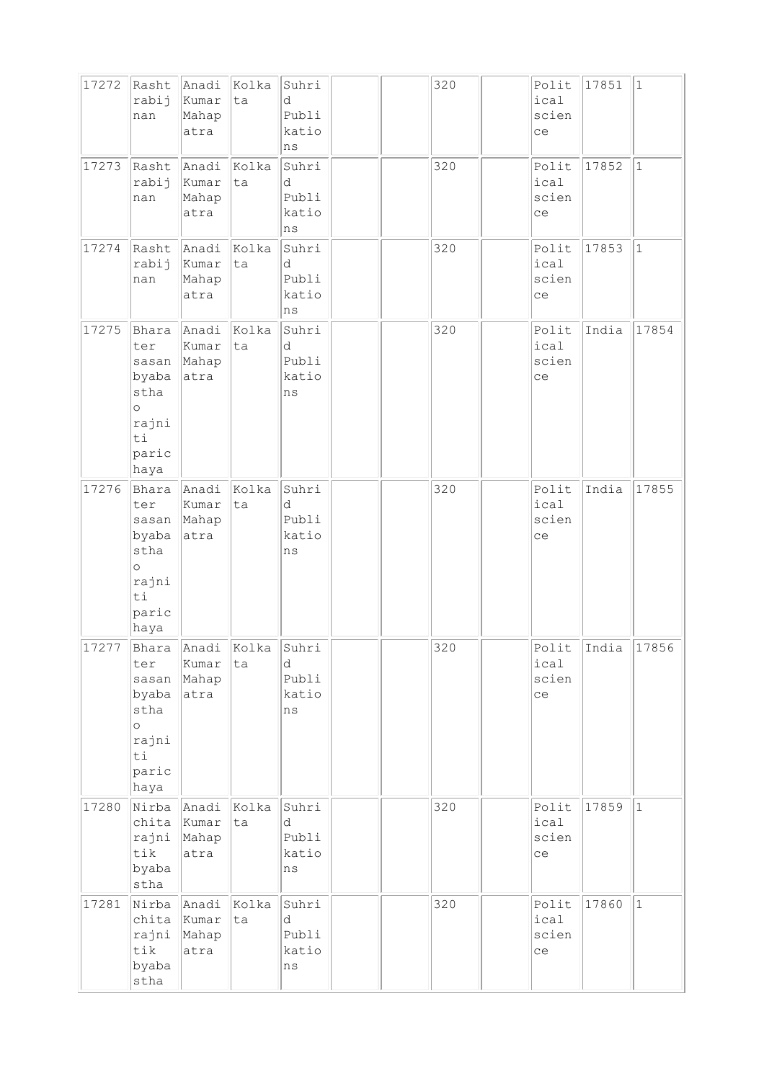| 17272 | Rasht                                                                             | Anadi                           | Kolka       | Suhri                                    |  | 320 | Polit                        | 17851 | $ 1\rangle$ |
|-------|-----------------------------------------------------------------------------------|---------------------------------|-------------|------------------------------------------|--|-----|------------------------------|-------|-------------|
|       | rabij<br>nan                                                                      | Kumar<br>Mahap<br>atra          | ta          | d<br>Publi<br>katio<br>ns                |  |     | ical<br>scien<br>ce          |       |             |
| 17273 | Rasht<br>rabij<br>nan                                                             | Anadi<br>Kumar<br>Mahap<br>atra | Kolka<br>ta | Suhri<br>d<br>Publi<br>katio<br>ns       |  | 320 | Polit<br>ical<br>scien<br>ce | 17852 | $\vert$ 1   |
| 17274 | Rasht                                                                             | Anadi                           | Kolka       | Suhri                                    |  | 320 | Polit                        | 17853 | $\vert$ 1   |
|       | rabij<br>nan                                                                      | Kumar<br>Mahap<br>atra          | ta          | d<br>Publi<br>katio<br>ns                |  |     | ical<br>scien<br>ce          |       |             |
| 17275 | Bhara<br>ter<br>sasan<br>byaba<br>stha<br>$\circ$<br>rajni<br>ti<br>paric<br>haya | Anadi<br>Kumar<br>Mahap<br>atra | Kolka<br>ta | Suhri<br>d<br>Publi<br>katio<br>ns       |  | 320 | Polit<br>ical<br>scien<br>ce | India | 17854       |
| 17276 | Bhara<br>ter<br>sasan<br>byaba<br>stha<br>$\circ$<br>rajni<br>ti<br>paric<br>haya | Anadi<br>Kumar<br>Mahap<br>atra | Kolka<br>ta | Suhri<br>d<br>Publi<br>katio<br>ns       |  | 320 | Polit<br>ical<br>scien<br>ce | India | 17855       |
| 17277 | Bhara<br>ter<br>sasan<br>byaba<br>stha<br>$\circ$<br>rajni<br>ti<br>paric<br>haya | Anadi<br>Kumar<br>Mahap<br>atra | Kolka<br>ta | Suhri<br>d<br>Publi<br>katio<br>$\rm ns$ |  | 320 | Polit<br>ical<br>scien<br>ce | India | 17856       |
| 17280 | Nirba<br>chita<br>rajni<br>tik<br>byaba<br>stha                                   | Anadi<br>Kumar<br>Mahap<br>atra | Kolka<br>ta | Suhri<br>d<br>Publi<br>katio<br>ns       |  | 320 | Polit<br>ical<br>scien<br>ce | 17859 | $ 1\rangle$ |
| 17281 | Nirba<br>chita<br>rajni<br>tik<br>byaba<br>stha                                   | Anadi<br>Kumar<br>Mahap<br>atra | Kolka<br>ta | Suhri<br>d<br>Publi<br>katio<br>$\rm ns$ |  | 320 | Polit<br>ical<br>scien<br>ce | 17860 | $ 1\rangle$ |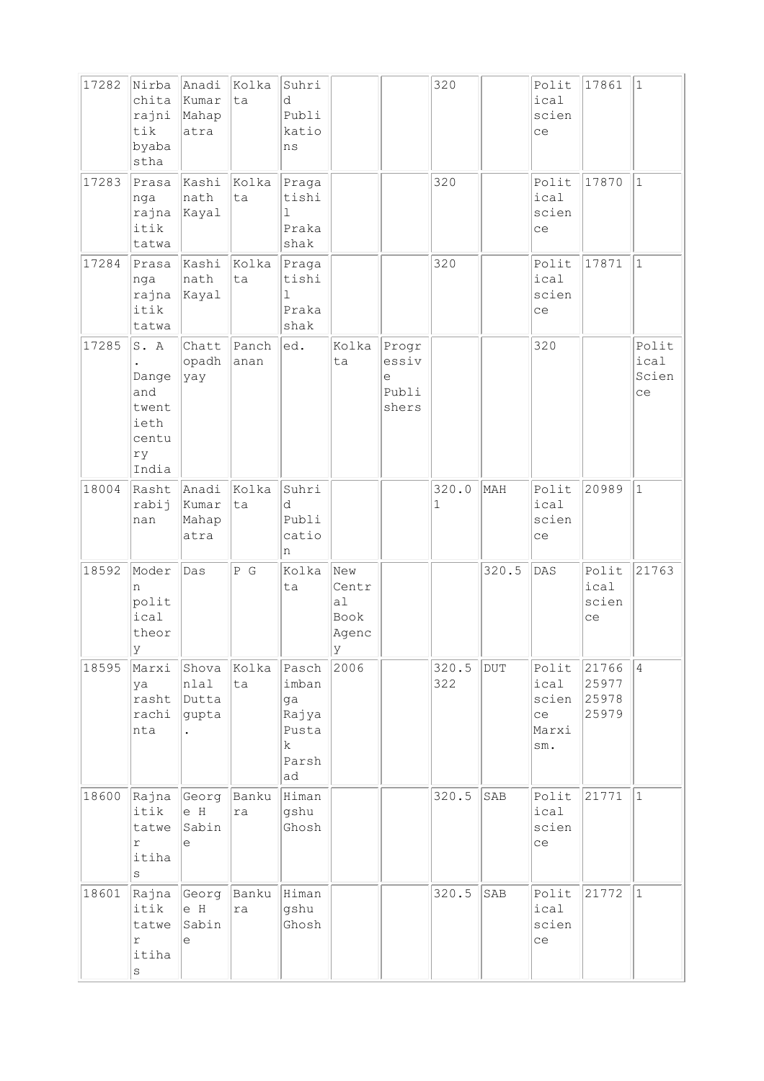| 17282 | Nirba<br>chita<br>rajni<br>tik<br>byaba<br>stha               | Anadi<br>Kumar<br>Mahap<br>atra  | Kolka<br>ta   | Suhri<br>d<br>Publi<br>katio<br>ns                         |                                                |                                       | 320          |       | Polit<br>ical<br>scien<br>ce        | 17861                                      | $\mathbf{1}$                 |
|-------|---------------------------------------------------------------|----------------------------------|---------------|------------------------------------------------------------|------------------------------------------------|---------------------------------------|--------------|-------|-------------------------------------|--------------------------------------------|------------------------------|
| 17283 | Prasa<br>nga<br>rajna<br>itik<br>tatwa                        | Kashi<br>nath<br>Kayal           | Kolka<br>ta   | Praga<br>tishi<br>$\mathbf 1$<br>Praka<br>shak             |                                                |                                       | 320          |       | Polit<br>ical<br>scien<br>ce        | 17870                                      | $\vert$ 1                    |
| 17284 | Prasa<br>nga<br>rajna<br>itik<br>tatwa                        | Kashi<br>nath<br>Kayal           | Kolka<br>ta   | Praga<br>tishi<br>$\mathbf{1}$<br>Praka<br>shak            |                                                |                                       | 320          |       | Polit<br>ical<br>scien<br>ce        | 17871                                      | $\mathbf{1}$                 |
| 17285 | S. A<br>Dange<br>and<br>twent<br>ieth<br>centu<br>ry<br>India | Chatt<br>opadh<br>yay            | Panch<br>anan | ed.                                                        | Kolka<br>ta                                    | Progr<br>essiv<br>е<br>Publi<br>shers |              |       | 320                                 |                                            | Polit<br>ical<br>Scien<br>ce |
| 18004 | Rasht<br>rabij<br>nan                                         | Anadi<br>Kumar<br>Mahap<br>atra  | Kolka<br>ta   | Suhri<br>d<br>Publi<br>catio<br>n                          |                                                |                                       | 320.0<br>1   | MAH   | Polit<br>ical<br>scien<br>ce        | 20989                                      | $\mathbf{1}$                 |
| 18592 | Moder<br>n<br>polit<br>ical<br>theor<br> y                    | Das                              | P G           | Kolka<br>ta                                                | New<br>Centr<br>a1<br>Book<br>Agenc<br>$\ Y\ $ |                                       |              | 320.5 | DAS                                 | Polit<br>ical<br>scien<br>ce               | 21763                        |
| 18595 | Marxi<br>ya<br>rasht<br>rachi<br>nta                          | Shova<br>nlal<br>Dutta<br>gupta  | Kolka<br>ta   | Pasch<br>imban<br>ga<br>Rajya<br>Pusta<br>k<br>Parsh<br>ad | 2006                                           |                                       | 320.5<br>322 | DUT   | ical<br>scien<br>ce<br>Marxi<br>sm. | Polit $ 21766 $<br>25977<br>25978<br>25979 | $\vert 4 \vert$              |
| 18600 | Rajna<br>itik<br>tatwe<br>$\Upsilon$<br>itiha<br>$\rm s$      | Georg<br>e H<br>Sabin<br>е       | Banku<br>ra   | Himan<br>gshu<br>Ghosh                                     |                                                |                                       | 320.5        | SAB   | Polit<br>ical<br>scien<br>ce        | 21771                                      | $\vert$ 1                    |
| 18601 | Rajna<br>itik<br>tatwe<br>r<br>itiha<br>$\rm S$               | Georg Banku<br>e H<br>Sabin<br>e | ra            | Himan<br>gshu<br>Ghosh                                     |                                                |                                       | 320.5        | SAB   | Polit<br>ical<br>scien<br>ce        | 21772                                      | $\mathbf{1}$                 |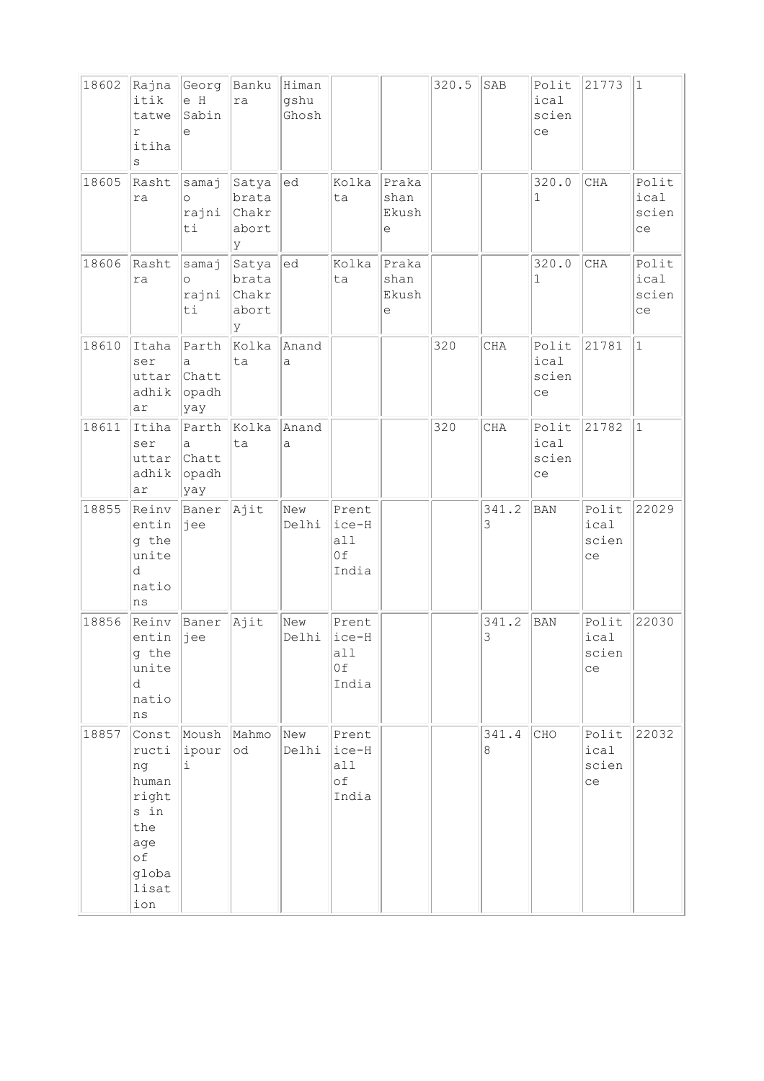| 18602 | Rajna<br>itik<br>tatwe<br>r<br>itiha<br>S                                                   | Georg<br>e H<br>Sabin<br>e            | Banku Himan<br>ra                          | gshu<br>Ghosh |                                      |                                                     | 320.5 | SAB              | Polit<br>ical<br>scien<br>ce | 21773                        | $\mathbf{1}$                 |
|-------|---------------------------------------------------------------------------------------------|---------------------------------------|--------------------------------------------|---------------|--------------------------------------|-----------------------------------------------------|-------|------------------|------------------------------|------------------------------|------------------------------|
| 18605 | Rasht<br>ra                                                                                 | samaj<br>$\circ$<br>rajni Chakr<br>ti | Satya<br>brata<br>abort<br>lУ              | ed            | Kolka<br>ta                          | Praka<br>shan<br>Ekush<br>е                         |       |                  | 320.0<br>1                   | CHA                          | Polit<br>ical<br>scien<br>ce |
| 18606 | Rasht<br>ra                                                                                 | samaj<br>$\circ$<br>rajni<br>ti       | Satya  ed<br>brata<br>Chakr<br>abort<br>ly |               | Kolka<br>ta                          | Praka<br>shan<br>Ekush<br>$\mathop{\rm e}\nolimits$ |       |                  | 320.0<br>$\mathbf 1$         | CHA                          | Polit<br>ical<br>scien<br>ce |
| 18610 | Itaha<br>ser<br>uttar<br>adhik<br>ar                                                        | Parth<br>a<br>Chatt<br>opadh<br>yay   | Kolka<br>ta                                | Anand<br>a    |                                      |                                                     | 320   | $\rm CHA$        | Polit<br>ical<br>scien<br>ce | 21781                        | $\mathbf{1}$                 |
| 18611 | Itiha<br>ser<br>uttar<br>adhik<br>ar                                                        | Parth<br>a<br>Chatt<br>opadh<br>yay   | Kolka<br>ta                                | Anand<br>a    |                                      |                                                     | 320   | CHA              | Polit<br>ical<br>scien<br>ce | 21782                        | $\mathbf{1}$                 |
| 18855 | Reinv<br>entin<br>g the<br>unite<br>d<br>natio<br>ns                                        | Baner<br>jee                          | Ajit                                       | New<br>Delhi  | Prent<br>ice-H<br>a11<br>0f<br>India |                                                     |       | 341.2<br>3       | <b>BAN</b>                   | Polit<br>ical<br>scien<br>ce | 22029                        |
| 18856 | Reinv<br>entin<br>g the<br>unite<br>d<br>natio<br>ns                                        | Baner<br>jee                          | Ajit                                       | New<br>Delhi  | Prent<br>ice-H<br>all<br>0f<br>India |                                                     |       | 341.2<br>3       | <b>BAN</b>                   | Polit<br>ical<br>scien<br>ce | 22030                        |
| 18857 | Const<br>ructi<br>ng<br>human<br>right<br>s in<br>the<br>age<br>оf<br>globa<br>lisat<br>ion | Moush<br>ipour<br>i.                  | Mahmo<br> od                               | New<br>Delhi  | Prent<br>ice-H<br>all<br>оf<br>India |                                                     |       | 341.4<br>$\,8\,$ | CHO                          | Polit<br>ical<br>scien<br>ce | 22032                        |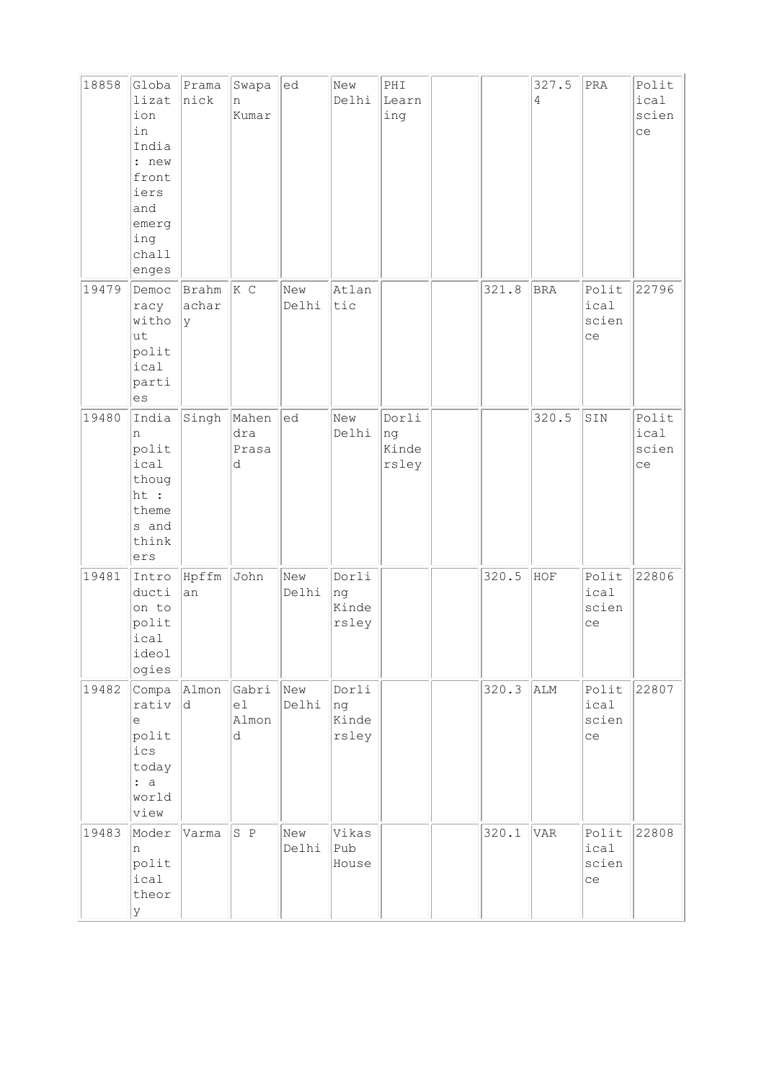| 18858 | Globa<br>lizat<br>ion<br>in<br>India<br>: new<br>front<br>iers<br>and<br>emerg<br>ing<br>chall<br>enges | Prama<br>nick        | Swapa<br>n<br>Kumar        | ed           | New<br>Delhi                  | PHI<br>Learn<br>ing           |       | 327.5<br>4 | PRA                          | Polit<br>ical<br>scien<br>ce |
|-------|---------------------------------------------------------------------------------------------------------|----------------------|----------------------------|--------------|-------------------------------|-------------------------------|-------|------------|------------------------------|------------------------------|
| 19479 | Democ<br>racy<br>witho<br>lut<br>polit<br>ical<br>parti<br>es                                           | Brahm<br>achar<br>Ιy | $ K \ C$                   | New<br>Delhi | Atlan<br>tic                  |                               | 321.8 | <b>BRA</b> | Polit<br>ical<br>scien<br>ce | 22796                        |
| 19480 | India<br>n<br>polit<br>ical<br>thoug<br>ht :<br>theme<br>s and<br>think<br>ers                          | Singh                | Mahen<br>dra<br>Prasa<br>d | ed           | New<br>Delhi                  | Dorli<br>ng<br>Kinde<br>rsley |       | 320.5      | SIN                          | Polit<br>ical<br>scien<br>ce |
| 19481 | Intro<br>ducti<br>on to<br>polit<br>ical<br>ideol<br>ogies                                              | Hpffm<br>an          | John                       | New<br>Delhi | Dorli<br>ng<br>Kinde<br>rsley |                               | 320.5 | HOF        | Polit<br>ical<br>scien<br>ce | 22806                        |
| 19482 | Compa<br>rativ<br>e<br>polit<br>ics<br>today<br>: a<br>world<br>view                                    | Almon<br> d          | Gabri<br>el<br>Almon<br>d  | New<br>Delhi | Dorli<br>ng<br>Kinde<br>rsley |                               | 320.3 | ALM        | Polit<br>ical<br>scien<br>ce | 22807                        |
| 19483 | Moder<br>n<br>polit<br>ical<br>theor<br>y                                                               | Varma                | S P                        | New<br>Delhi | Vikas<br>Pub<br>House         |                               | 320.1 | VAR        | Polit<br>ical<br>scien<br>ce | 22808                        |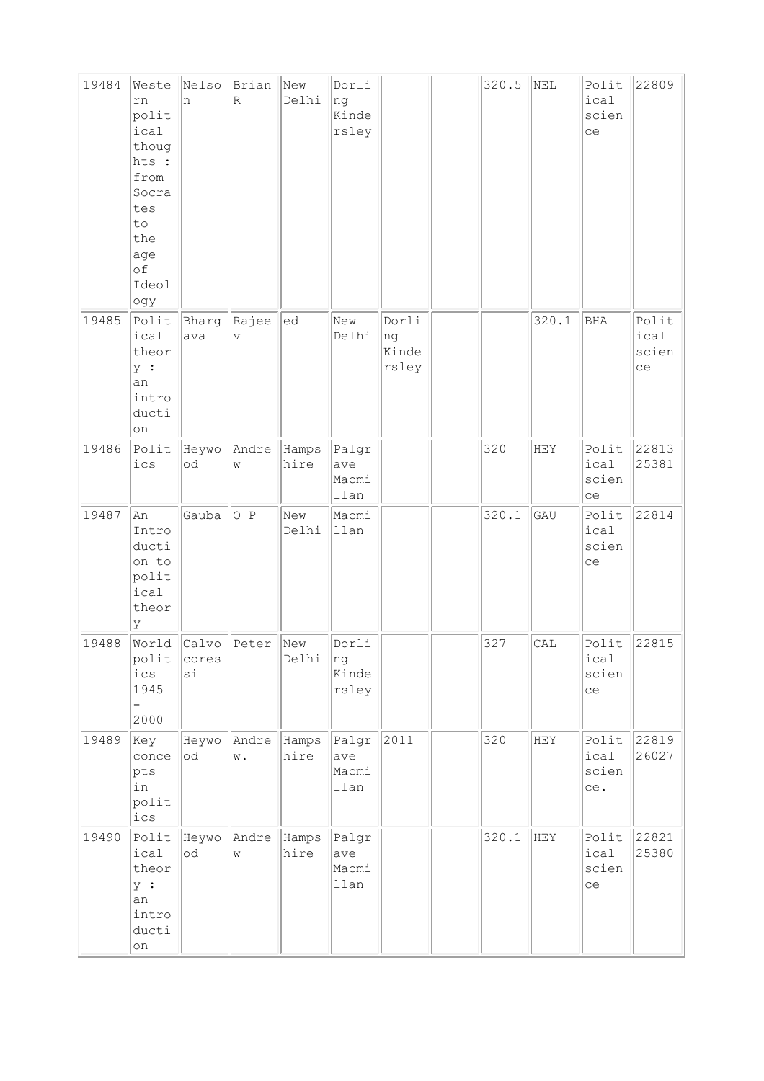| 19484 | Weste<br>rn<br>polit<br>ical<br>thoug<br>hts :<br>from<br>Socra<br>tes<br>to<br>the<br>age<br>of<br>Ideol<br>ogy | Nelso<br>n               | Brian<br>$\overline{\mathbb{R}}$ | New<br>Delhi  | Dorli<br>ng<br>Kinde<br>rsley |                               | 320.5 | NEL   | Polit<br>ical<br>scien<br>ce  | 22809                        |
|-------|------------------------------------------------------------------------------------------------------------------|--------------------------|----------------------------------|---------------|-------------------------------|-------------------------------|-------|-------|-------------------------------|------------------------------|
| 19485 | Polit<br>ical<br>theor<br>y :<br>an<br>intro<br>ducti<br>on                                                      | Bharg<br>ava             | Rajee<br>V                       | ed            | New<br>Delhi                  | Dorli<br>ng<br>Kinde<br>rsley |       | 320.1 | BHA                           | Polit<br>ical<br>scien<br>ce |
| 19486 | Polit<br>ics                                                                                                     | Heywo<br>$\circ {\rm d}$ | Andre<br>W                       | Hamps<br>hire | Palgr<br>ave<br>Macmi<br>llan |                               | 320   | HEY   | Polit<br>ical<br>scien<br>ce  | 22813<br>25381               |
| 19487 | An<br>Intro<br>ducti<br>on to<br>polit<br>ical<br>theor<br>У                                                     | Gauba                    | O P                              | New<br>Delhi  | Macmi<br>llan                 |                               | 320.1 | GAU   | Polit<br>ical<br>scien<br>ce  | 22814                        |
| 19488 | World<br>polit<br>ics<br>1945<br>2000                                                                            | Calvo<br>cores<br>$\sin$ | Peter                            | New<br>Delhi  | Dorli<br>ng<br>Kinde<br>rsley |                               | 327   | CAL   | Polit<br>ical<br>scien<br>ce  | 22815                        |
| 19489 | Key<br>conce<br>pts<br>in<br>polit<br>ics                                                                        | Heywo<br>$\circ {\rm d}$ | Andre<br>w.                      | Hamps<br>hire | Palgr<br>ave<br>Macmi<br>llan | 2011                          | 320   | HEY   | Polit<br>ical<br>scien<br>ce. | 22819<br>26027               |
| 19490 | Polit<br>ical<br>theor<br>y :<br>an<br>intro<br>ducti<br>on                                                      | Heywo<br>od              | Andre<br>W                       | Hamps<br>hire | Palgr<br>ave<br>Macmi<br>llan |                               | 320.1 | HEY   | Polit<br>ical<br>scien<br>ce  | 22821<br>25380               |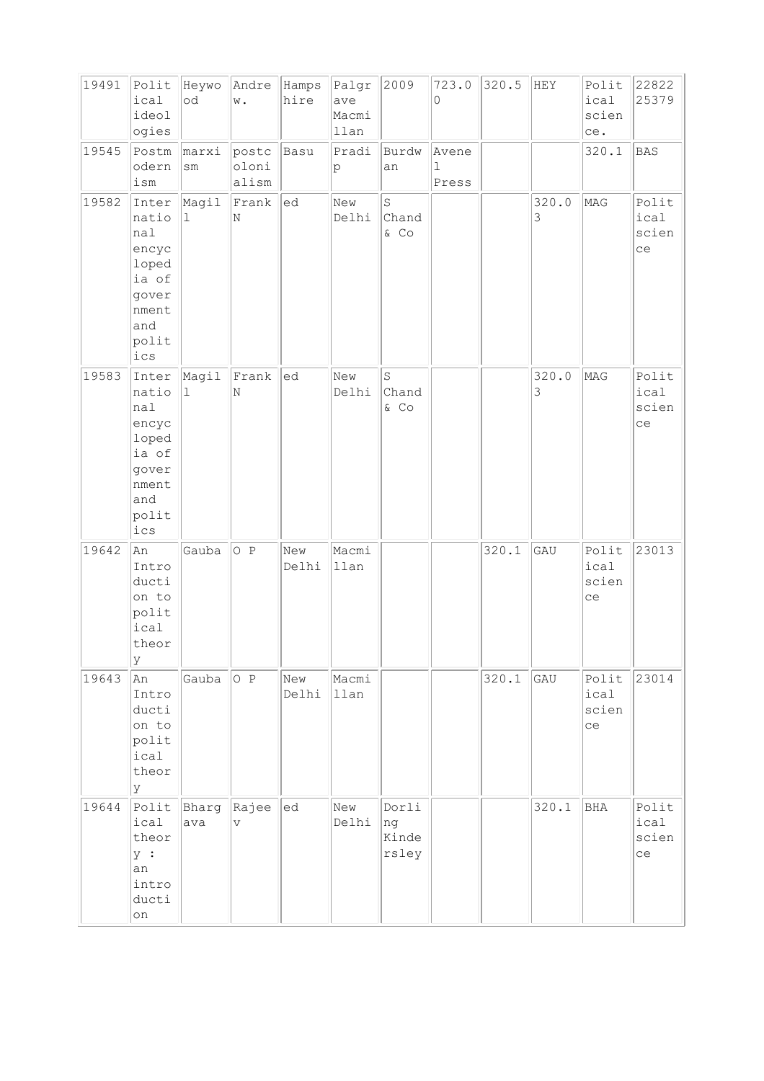| 19491 | Polit<br>ical<br>ideol<br>ogies                                                           | Heywo<br>od            | Andre Hamps<br>w.                | hire         | Palgr<br>ave<br>Macmi<br>llan | 2009                          | 723.0<br>0          | 320.5 | HEY        | Polit<br>ical<br>scien<br>ce. | 22822<br>25379               |
|-------|-------------------------------------------------------------------------------------------|------------------------|----------------------------------|--------------|-------------------------------|-------------------------------|---------------------|-------|------------|-------------------------------|------------------------------|
| 19545 | Postm<br>odern<br>$i\,\mathrm{sm}$                                                        | marxi<br>$\texttt{sm}$ | postc<br>oloni<br>alism          | Basu         | Pradi<br>p                    | Burdw<br>an                   | Avene<br>ı<br>Press |       |            | 320.1                         | BAS                          |
| 19582 | Inter<br>natio<br>nal<br>encyc<br>loped<br>ia of<br>gover<br>nment<br>and<br>polit<br>ics | Magil<br>ı             | Frank<br>N                       | ed           | New<br>Delhi                  | $\rm S$<br>Chand<br>& CO      |                     |       | 320.0<br>3 | MAG                           | Polit<br>ical<br>scien<br>ce |
| 19583 | Inter<br>natio<br>nal<br>encyc<br>loped<br>ia of<br>gover<br>nment<br>and<br>polit<br>ics | Magil<br>$\mathbf 1$   | Frank<br>N                       | ed           | New<br>Delhi                  | $\rm S$<br>Chand<br>$&$ Co    |                     |       | 320.0<br>3 | MAG                           | Polit<br>ical<br>scien<br>ce |
| 19642 | An<br>Intro<br>ducti<br>on to<br>polit<br>ical<br>theor<br>У                              | Gauba                  | O P                              | New<br>Delhi | Macmi<br>llan                 |                               |                     | 320.1 | GAU        | Polit<br>ical<br>scien<br>ce  | 23013                        |
| 19643 | An<br>Intro<br>ducti<br>on to<br>polit<br>ical<br>theor<br>У                              | Gauba                  | O P                              | New<br>Delhi | Macmi<br>llan                 |                               |                     | 320.1 | GAU        | Polit<br>ical<br>scien<br>ce  | 23014                        |
| 19644 | Polit<br>ical<br>theor<br>y :<br>an<br>intro<br>ducti<br>on                               | Bharg<br>ava           | Rajee<br>$\overline{\mathbf{V}}$ | ed           | New<br>Delhi                  | Dorli<br>ng<br>Kinde<br>rsley |                     |       | 320.1      | <b>BHA</b>                    | Polit<br>ical<br>scien<br>ce |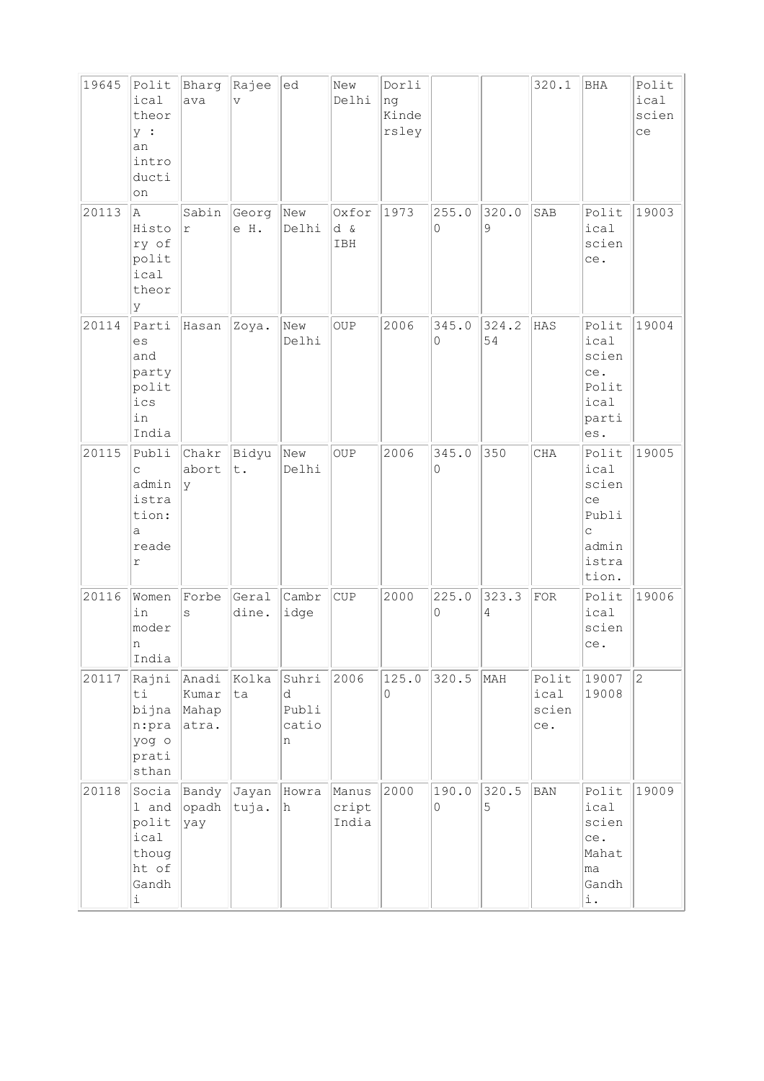| 19645 | Polit<br>ical<br>theor<br>y :<br>an<br>intro<br>ducti<br>on                     | Bharg<br>ava                     | Rajee<br>$\overline{V}$ | ed                                | New<br>Delhi            | Dorli<br>ng<br>Kinde<br>rsley |            |             | 320.1                         | <b>BHA</b>                                                                       | Polit<br>ical<br>scien<br>ce |
|-------|---------------------------------------------------------------------------------|----------------------------------|-------------------------|-----------------------------------|-------------------------|-------------------------------|------------|-------------|-------------------------------|----------------------------------------------------------------------------------|------------------------------|
| 20113 | A<br>Histo<br>ry of<br>polit<br>ical<br>theor<br>У                              | Sabin<br>r                       | Georg<br>e H.           | New<br>Delhi                      | Oxfor<br>d &<br>IBH     | 1973                          | 255.0<br>0 | 320.0<br>9  | SAB                           | Polit<br>ical<br>scien<br>ce.                                                    | 19003                        |
| 20114 | Parti<br>es<br>and<br>party<br>polit<br>ics<br>in<br>India                      | Hasan                            | Zoya.                   | New<br>Delhi                      | <b>OUP</b>              | 2006                          | 345.0<br>0 | 324.2<br>54 | HAS                           | Polit<br>ical<br>scien<br>ce.<br>Polit<br>ical<br>parti<br>es.                   | 19004                        |
| 20115 | Publi<br>C<br>admin<br>istra<br>tion:<br>a<br>reade<br>r                        | Chakr<br>abort<br>Ιy             | Bidyu<br>t.             | New<br>Delhi                      | <b>OUP</b>              | 2006                          | 345.0<br>0 | 350         | CHA                           | Polit<br>ical<br>scien<br>ce<br>Publi<br>$\mathsf{C}$<br>admin<br>istra<br>tion. | 19005                        |
| 20116 | Women<br>in<br>moder<br>n<br>India                                              | Forbe<br>S                       | Geral<br>dine.          | Cambr<br>idge                     | CUP                     | 2000                          | 225.0<br>0 | 323.3<br>4  | FOR                           | Polit<br>ical<br>scien<br>ce.                                                    | 19006                        |
| 20117 | Rajni<br>ti<br>bijna<br>n:pra<br>yog o<br>prati<br>sthan                        | Anadi<br>kumar<br>Mahap<br>atra. | Kolka<br>ta             | Suhri<br>d<br>Publi<br>catio<br>n | 2006                    | 125.0<br>0                    | 320.5      | MAH         | Polit<br>ical<br>scien<br>ce. | 19007<br>19008                                                                   | $\overline{c}$               |
| 20118 | Socia<br>1 and<br>polit<br>ical<br>thoug<br>ht of<br>Gandh<br>$\dot{\mathtt l}$ | Bandy<br>opadh<br>yay            | Jayan<br>tuja.          | Howra<br>h                        | Manus<br>cript<br>India | 2000                          | 190.0<br>0 | 320.5<br>5  | $_{\rm BAN}$                  | Polit<br>ical<br>scien<br>ce.<br>Mahat<br>lma<br>Gandh<br>i.                     | 19009                        |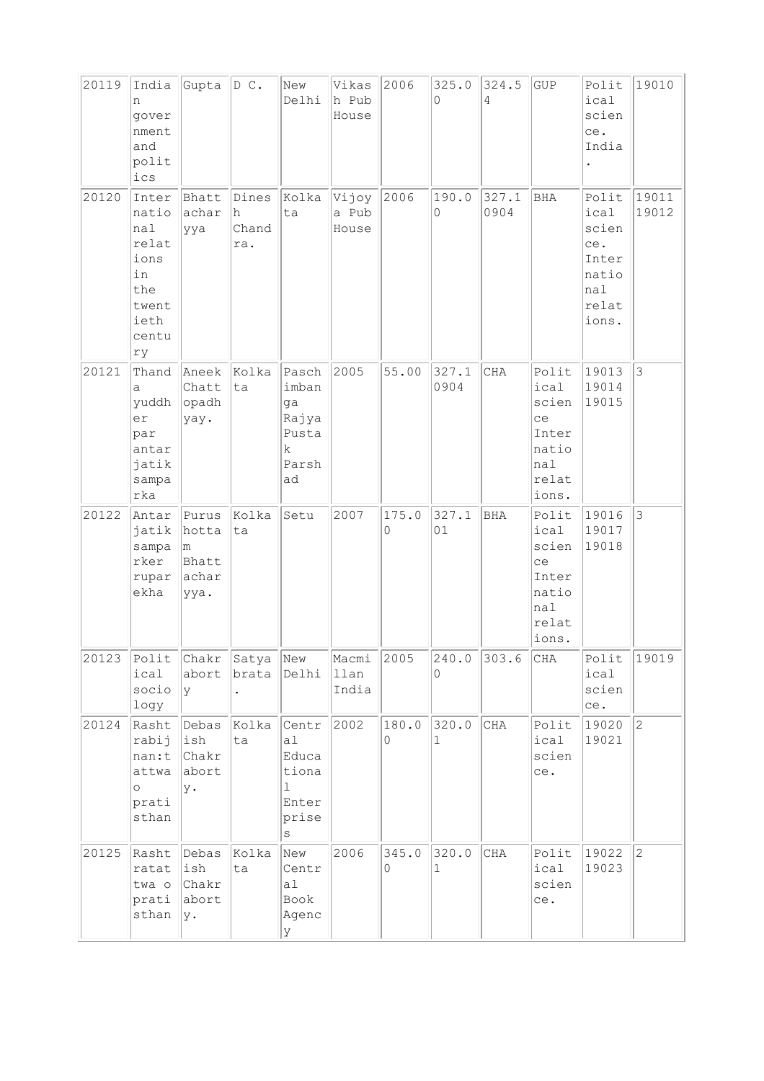| 20119 | India<br>n<br>gover<br>nment<br>and<br>polit<br>ics                                 | Gupta D C.                                     |                            | New<br>Delhi                                                                | Vikas<br>h Pub<br>House | 2006       | 325.0<br>$\Omega$     | 324.5<br>4    | GUP                                                                     | Polit<br>ical<br>scien<br>ce.<br>India                                   | 19010          |
|-------|-------------------------------------------------------------------------------------|------------------------------------------------|----------------------------|-----------------------------------------------------------------------------|-------------------------|------------|-----------------------|---------------|-------------------------------------------------------------------------|--------------------------------------------------------------------------|----------------|
| 20120 | Inter<br>natio<br>nal<br>relat<br>ions<br>in<br>the<br>twent<br>ieth<br>centu<br>ry | Bhatt<br>achar<br>ууа                          | Dines<br>h<br>Chand<br>ra. | Kolka<br>ta                                                                 | Vijoy<br>a Pub<br>House | 2006       | 190.0<br>$\circ$      | 327.1<br>0904 | BHA                                                                     | Polit<br>ical<br>scien<br>ce.<br>Inter<br>natio<br>nal<br>relat<br>ions. | 19011<br>19012 |
| 20121 | Thand<br>a<br>yuddh<br>er<br>par<br>antar<br>jatik<br>sampa<br>rka                  | Aneek<br>Chatt<br>$ $ opadh<br>yay.            | Kolka<br>ta                | Pasch<br>imban<br>ga<br>Rajya<br>Pusta<br>k.<br>Parsh<br>ad                 | 2005                    | 55.00      | 327.1<br>0904         | <b>CHA</b>    | Polit<br>ical<br>scien<br>ce<br>Inter<br>natio<br>nal<br>relat<br>ions. | 19013<br>19014<br>19015                                                  | $ 3\rangle$    |
| 20122 | Antar<br>jatik<br>sampa<br>rker<br>rupar<br>ekha                                    | Purus<br>hotta<br>m.<br>Bhatt<br>achar<br>ууа. | Kolka<br>ta                | Setu                                                                        | 2007                    | 175.0<br>0 | 327.1<br>01           | BHA           | Polit<br>ical<br>scien<br>ce<br>Inter<br>natio<br>nal<br>relat<br>ions. | 19016<br>19017<br>19018                                                  | 3              |
| 20123 | Polit<br>ical<br>socio<br>logy                                                      | Chakr Satya New<br>lУ                          | abort brata                | Delhi                                                                       | Macmi<br>llan<br>India  | 2005       | 240.0<br>0            | 303.6         | CHA                                                                     | Polit<br>ical<br>scien<br>ce.                                            | 19019          |
| 20124 | Rasht<br>rabij<br>nan:t<br>attwa<br>$\circ$<br>prati<br>sthan                       | Debas<br>ish<br><i>chakr</i><br>abort<br>у.    | Kolka<br>ta                | Centr<br>a <sub>1</sub><br>Educa<br>tiona<br>ı<br>Enter<br>prise<br>$\rm s$ | 2002                    | 180.0<br>0 | 320.0<br>$\mathbf 1$  | CHA           | Polit<br>ical<br>scien<br>ce.                                           | 19020<br>19021                                                           | $ 2\rangle$    |
| 20125 | Rasht<br>ratat<br>twa o<br>prati<br>sthan                                           | Debas<br>ish<br>Chakr<br>abort<br>y.           | Kolka<br>ta                | New<br>Centr<br>al<br>Book<br>Agenc<br>У                                    | 2006                    | 345.0<br>0 | 320.0<br>$\mathbf{1}$ | CHA           | Polit<br>ical<br>scien<br>ce.                                           | 19022<br>19023                                                           | $\overline{c}$ |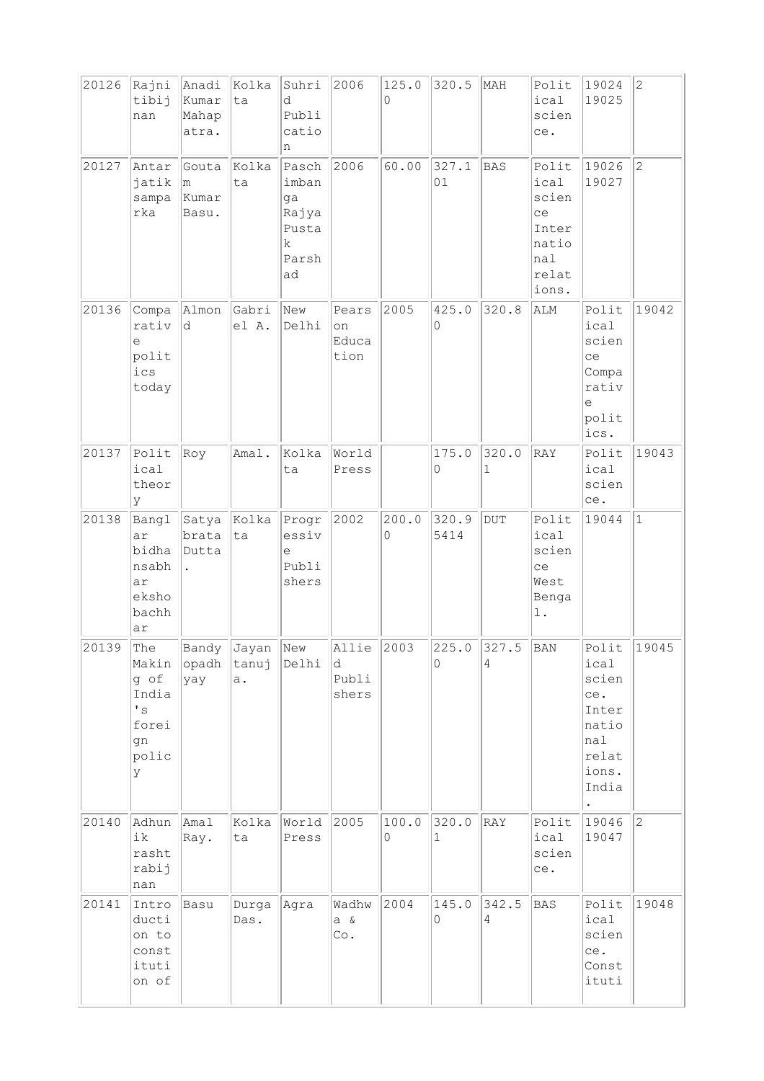| 20126 | Rajni                                                                     | Anadi                          | Kolka                | Suhri                                                      | 2006                          | 125.0      | 320.5         | MAH        | Polit                                                                   | 19024                                                                             | $ 2\rangle$    |
|-------|---------------------------------------------------------------------------|--------------------------------|----------------------|------------------------------------------------------------|-------------------------------|------------|---------------|------------|-------------------------------------------------------------------------|-----------------------------------------------------------------------------------|----------------|
|       | tibij<br>nan                                                              | Kumar<br>Mahap<br>atra.        | ta                   | d<br>Publi<br>catio<br>n                                   |                               | $\Omega$   |               |            | ical<br>scien<br>ce.                                                    | 19025                                                                             |                |
| 20127 | Antar<br>jatik<br>sampa<br>rka                                            | Gouta<br>lm.<br>Kumar<br>Basu. | Kolka<br>ta          | Pasch<br>imban<br>ga<br>Rajya<br>Pusta<br>k<br>Parsh<br>ad | 2006                          | 60.00      | 327.1<br>01   | BAS        | Polit<br>ical<br>scien<br>ce<br>Inter<br>natio<br>nal<br>relat<br>ions. | 19026<br>19027                                                                    | $\overline{c}$ |
| 20136 | Compa<br>rativ<br>е<br>polit<br>ics<br>today                              | Almon<br>d                     | Gabri<br>el A.       | New<br>Delhi                                               | Pears<br>on<br>Educa<br>tion  | 2005       | 425.0<br>0    | 320.8      | ALM                                                                     | Polit<br>ical<br>scien<br>ce<br>Compa<br>rativ<br>$\in$<br>polit<br>ics.          | 19042          |
| 20137 | Polit<br>ical<br>theor<br>У                                               | Roy                            | Amal.                | Kolka<br>ta                                                | World<br>Press                |            | 175.0<br>0    | 320.0<br>1 | RAY                                                                     | Polit<br>ical<br>scien<br>ce.                                                     | 19043          |
| 20138 | Bangl<br>ar<br>bidha<br>nsabh<br>ar<br>eksho<br>bachh<br>ar               | Satya<br>brata<br>Dutta        | Kolka<br>ta          | Progr<br>essiv<br>e<br>Publi<br>shers                      | 2002                          | 200.0<br>0 | 320.9<br>5414 | <b>DUT</b> | Polit<br>ical<br>scien<br>ce<br>West<br>Benga<br>l.                     | 19044                                                                             | $\vert$ 1      |
| 20139 | The<br>Makin<br>g of<br>India<br>$^\prime$ s<br>forei<br>gn<br>polic<br>У | Bandy<br>opadh<br>yay          | Jayan<br>tanuj<br>a. | New<br>Delhi                                               | Allie<br>d.<br>Publi<br>shers | 2003       | 225.0<br>0    | 327.5<br>4 | BAN                                                                     | Polit<br>ical<br>scien<br>ce.<br>Inter<br>natio<br>nal<br>relat<br>ions.<br>India | 19045          |
| 20140 | Adhun<br>ik<br>rasht<br>rabij<br>nan                                      | Amal<br>Ray.                   | Kolka<br>ta          | World<br>Press                                             | 2005                          | 100.0<br>0 | 320.0<br>1    | RAY        | Polit<br>ical<br>scien<br>ce.                                           | 19046<br>19047                                                                    | $ 2\rangle$    |
| 20141 | Intro<br>ducti<br>on to<br>const<br>ituti<br>on of                        | Basu                           | Durga<br>Das.        | Agra                                                       | Wadhw<br>$a \&$<br>Co.        | 2004       | 145.0<br>0    | 342.5<br>4 | <b>BAS</b>                                                              | Polit<br>ical<br>scien<br>ce.<br>Const<br>ituti                                   | 19048          |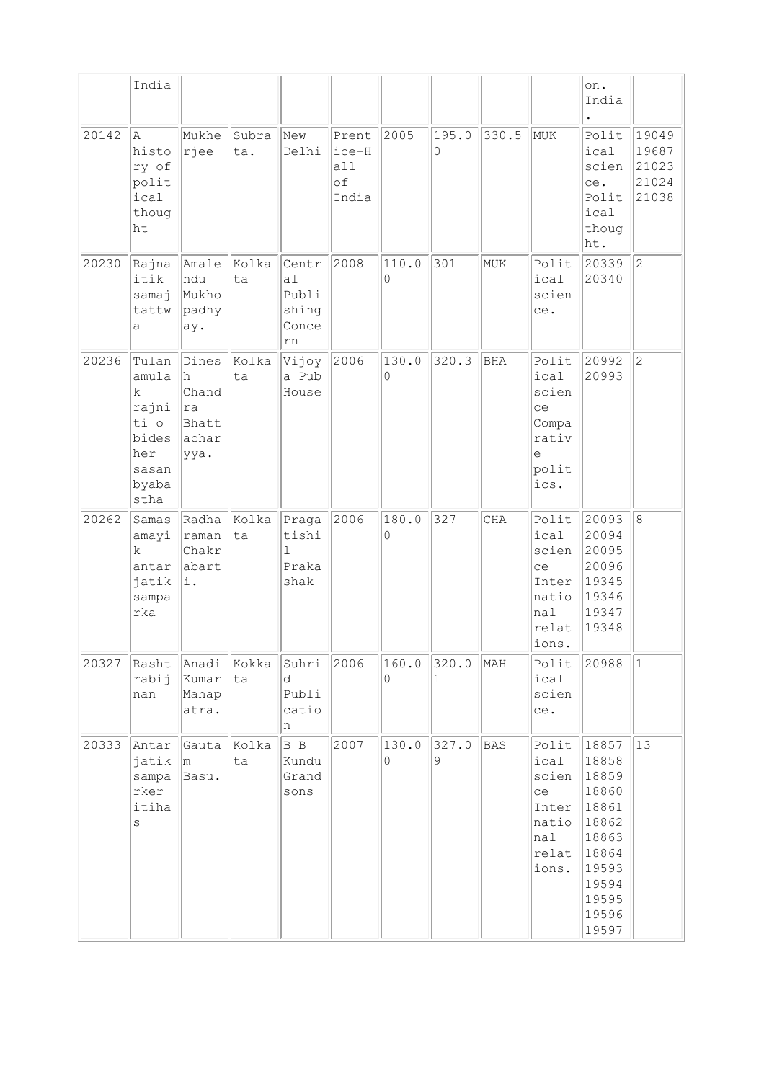|       | India                                                                                    |                                                      |              |                                              |                                      |            |            |            |                                                                         | on.<br>India                                                                                                      |                                           |
|-------|------------------------------------------------------------------------------------------|------------------------------------------------------|--------------|----------------------------------------------|--------------------------------------|------------|------------|------------|-------------------------------------------------------------------------|-------------------------------------------------------------------------------------------------------------------|-------------------------------------------|
| 20142 | la.<br>histo<br>ry of<br>polit<br>ical<br>thoug<br>ht                                    | Mukhe<br> rjee                                       | Subra<br>ta. | New<br>Delhi                                 | Prent<br>ice-H<br>all<br>οf<br>India | 2005       | 195.0<br>0 | 330.5      | MUK                                                                     | Polit<br>ical<br>scien<br>ce.<br>Polit<br>ical<br>thoug<br>ht.                                                    | 19049<br>19687<br>21023<br>21024<br>21038 |
| 20230 | Rajna<br>itik<br>samaj<br>tattw<br>а                                                     | Amale<br>ndu<br>Mukho<br>padhy<br>ay.                | Kolka<br>ta  | Centr<br>a1<br>Publi<br>shing<br>Conce<br>rn | 2008                                 | 110.0<br>0 | 301        | MUK        | Polit<br>ical<br>scien<br>ce.                                           | 20339<br>20340                                                                                                    | $ 2\rangle$                               |
| 20236 | Tulan<br>amula<br>$\mathbf k$<br>rajni<br>ti o<br>bides<br>her<br>sasan<br>byaba<br>stha | Dines<br>h<br>Chand<br> ra<br>Bhatt<br>achar<br>ууа. | Kolka<br>ta  | Vijoy<br>a Pub<br>House                      | 2006                                 | 130.0<br>0 | 320.3      | <b>BHA</b> | Polit<br>ical<br>scien<br>ce<br>Compa<br>rativ<br>e<br>polit<br>ics.    | 20992<br>20993                                                                                                    | $\overline{2}$                            |
| 20262 | Samas<br>amayi<br>k.<br>antar<br>jatik<br>sampa<br>rka                                   | Radha<br>raman<br>Chakr<br>abart<br>i.               | Kolka<br>lta | Praga<br>tishi<br>1<br>Praka<br>shak         | 2006                                 | 180.0<br>0 | 327        | <b>CHA</b> | Polit<br>ical<br>scien<br>ce<br>Inter<br>natio<br>nal<br>relat<br>ions. | 20093<br>20094<br>20095<br>20096<br>19345<br>19346<br>19347<br>19348                                              | 8                                         |
| 20327 | Rasht<br>rabij<br>nan                                                                    | Anadi<br>Kumar<br>Mahap<br>atra.                     | Kokka<br>ta  | Suhri<br>d<br>Publi<br>catio<br>n            | 2006                                 | 160.0<br>0 | 320.0<br>1 | MAH        | Polit<br>ical<br>scien<br>ce.                                           | 20988                                                                                                             | $\vert$ 1                                 |
| 20333 | Antar<br>jatik<br>sampa<br>rker<br>itiha<br>$\rm s$                                      | Gauta<br>m.<br>Basu.                                 | Kolka<br>ta  | B B<br>Kundu<br>Grand<br>sons                | 2007                                 | 130.0<br>0 | 327.0<br>9 | <b>BAS</b> | Polit<br>ical<br>scien<br>ce<br>Inter<br>natio<br>nal<br>relat<br>ions. | 18857<br>18858<br>18859<br>18860<br>18861<br>18862<br>18863<br>18864<br>19593<br>19594<br>19595<br>19596<br>19597 | 13                                        |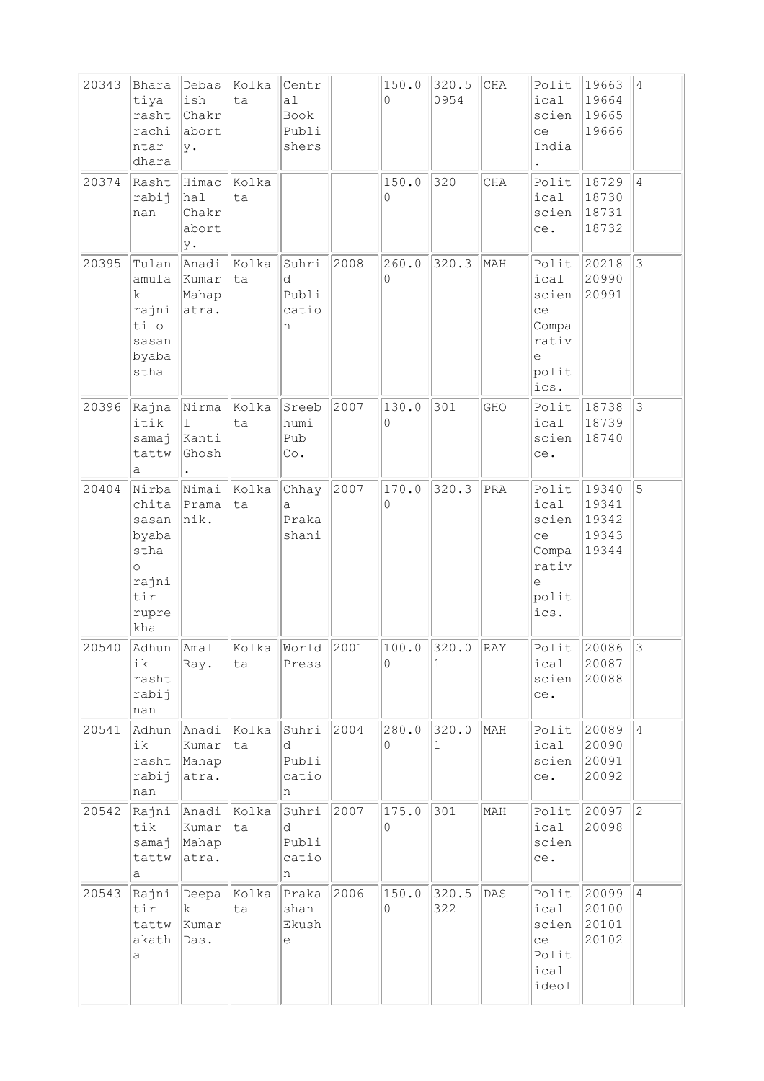| 20343 | Bhara<br>tiya<br>rasht<br>rachi<br>ntar<br>dhara                                    | Debas<br>ish<br>Chakr<br>abort<br>у. | Kolka<br>ta       | Centr<br>a <sub>1</sub><br>Book<br>Publi<br>shers |      | 150.0<br>0 | 320.5<br>0954         | CHA | Polit<br>ical<br>scien<br>ce<br>India                                    | 19663<br>19664<br>19665<br>19666          | $\overline{4}$ |
|-------|-------------------------------------------------------------------------------------|--------------------------------------|-------------------|---------------------------------------------------|------|------------|-----------------------|-----|--------------------------------------------------------------------------|-------------------------------------------|----------------|
| 20374 | Rasht<br>rabij<br>nan                                                               | Himac<br>hal<br>Chakr<br>abort<br>у. | Kolka<br>ta       |                                                   |      | 150.0<br>0 | 320                   | CHA | Polit<br>ical<br>scien<br>ce.                                            | 18729<br>18730<br>18731<br>18732          | $\overline{4}$ |
| 20395 | Tulan<br>amula<br>k<br>rajni<br>ti o<br>sasan<br>byaba<br>stha                      | Anadi<br>Kumar<br>Mahap<br>atra.     | Kolka<br>ta       | Suhri<br>d<br>Publi<br>catio<br>n                 | 2008 | 260.0<br>0 | 320.3                 | MAH | Polit<br>ical<br>scien<br>ce<br>Compa<br>rativ<br>e<br>polit<br>ics.     | 20218<br>20990<br>20991                   | 3              |
| 20396 | Rajna Nirma<br>itik<br>samaj<br>tattw<br>а                                          | $\mathbf 1$<br>Kanti<br>Ghosh        | Kolka<br>ta       | Sreeb<br>humi<br>Pub<br>Co.                       | 2007 | 130.0<br>0 | 301                   | GHO | Polit<br>ical<br>scien<br>ce.                                            | 18738<br>18739<br>18740                   | $\mathbf{3}$   |
| 20404 | Nirba<br>chita<br>sasan<br>byaba<br>stha<br>$\circ$<br>rajni<br>tir<br>rupre<br>kha | Nimai<br>Prama<br> nik.              | Kolka<br>ta       | Chhay<br>a<br>Praka<br>shani                      | 2007 | 170.0<br>0 | 320.3                 | PRA | Polit<br>ical<br>scien<br>ce<br>Compa<br>rativ<br>$\in$<br>polit<br>ics. | 19340<br>19341<br>19342<br>19343<br>19344 | 5              |
| 20540 | Adhun Amal<br>ik<br>rasht<br>rabij<br>nan                                           | Ray.                                 | Kolka World<br>ta | Press                                             | 2001 | 100.0<br>0 | 320.0<br>1            | RAY | Polit<br>ical<br>scien<br>ce.                                            | 20086<br>20087<br>20088                   | $\mathcal{E}$  |
| 20541 | Adhun<br>ik<br>rasht<br>rabij<br>nan                                                | Anadi<br>Kumar<br>Mahap<br>atra.     | Kolka<br>ta       | Suhri<br>d<br>Publi<br>catio<br>n                 | 2004 | 280.0<br>0 | 320.0<br>$\mathbf{1}$ | MAH | Polit<br>ical<br>scien<br>ce.                                            | 20089<br>20090<br>20091<br>20092          | $\vert$ 4      |
| 20542 | Rajni<br>tik<br>samaj<br>tattw<br>а                                                 | Anadi<br>Kumar<br>Mahap<br>atra.     | Kolka<br>ta       | Suhri<br>d<br>Publi<br>catio<br>n                 | 2007 | 175.0<br>0 | 301                   | MAH | Polit<br>ical<br>scien<br>ce.                                            | 20097<br>20098                            | $\overline{2}$ |
| 20543 | Rajni<br>tir<br>tattw<br>akath<br>a                                                 | Deepa<br>k.<br>Kumar<br>Das.         | Kolka<br>ta       | Praka<br>shan<br>Ekush<br>е                       | 2006 | 150.0<br>0 | 320.5<br>322          | DAS | Polit<br>ical<br>scien<br>ce<br>Polit<br>ical<br>ideol                   | 20099<br>20100<br>20101<br>20102          | $\overline{4}$ |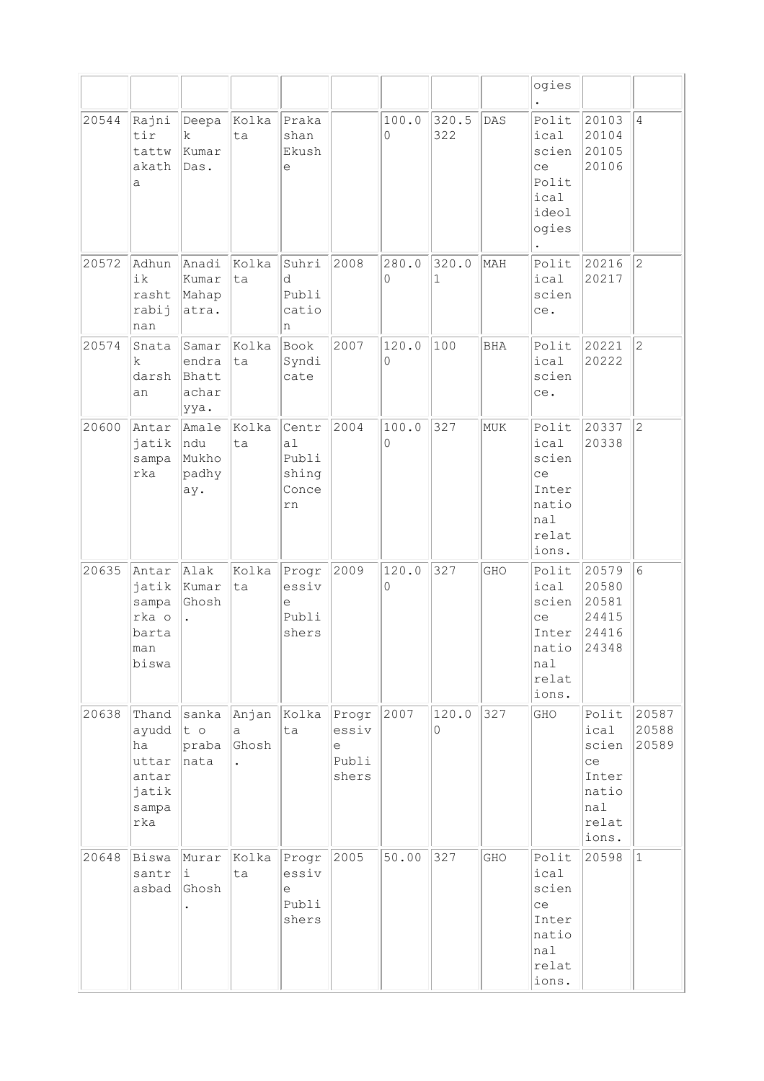|       |                                                                 |                                          |                     |                                              |                                       |            |              |            | ogies                                                                   |                                                                         |                         |
|-------|-----------------------------------------------------------------|------------------------------------------|---------------------|----------------------------------------------|---------------------------------------|------------|--------------|------------|-------------------------------------------------------------------------|-------------------------------------------------------------------------|-------------------------|
| 20544 | Rajni<br>tir<br>tattw<br>akath<br>a                             | Deepa<br>$\mathbf k$<br>Kumar<br>Das.    | Kolka<br>ta         | Praka<br>shan<br>Ekush<br>$\in$              |                                       | 100.0<br>0 | 320.5<br>322 | DAS        | Polit<br>ical<br>scien<br>ce<br>Polit<br>ical<br>ideol<br>ogies         | 20103<br>20104<br>20105<br>20106                                        | $\overline{4}$          |
| 20572 | Adhun<br>ik<br>rasht<br>rabij<br>nan                            | Anadi<br>Kumar<br>Mahap<br>atra.         | Kolka<br>ta         | Suhri<br>d<br>Publi<br>catio<br>n            | 2008                                  | 280.0<br>0 | 320.0<br>1   | MAH        | Polit<br>ical<br>scien<br>ce.                                           | 20216<br>20217                                                          | $\overline{c}$          |
| 20574 | Snata<br>k<br>darsh<br>an                                       | Samar<br>endra<br>Bhatt<br>achar<br>ууа. | Kolka<br> ta        | Book<br>Syndi<br>cate                        | 2007                                  | 120.0<br>0 | 100          | <b>BHA</b> | Polit<br>ical<br>scien<br>ce.                                           | 20221<br>20222                                                          | $\overline{c}$          |
| 20600 | Antar<br>jatik<br>sampa<br>rka                                  | Amale<br>ndu<br>Mukho<br>padhy<br>ay.    | Kolka<br>ta         | Centr<br>a1<br>Publi<br>shing<br>Conce<br>rn | 2004                                  | 100.0<br>0 | 327          | MUK        | Polit<br>ical<br>scien<br>ce<br>Inter<br>natio<br>nal<br>relat<br>ions. | 20337<br>20338                                                          | $\overline{c}$          |
| 20635 | Antar<br>jatik<br>sampa<br>rka o<br>barta<br>man<br>biswa       | Alak<br>Kumar<br>Ghosh                   | Kolka<br>ta         | Progr<br>essiv<br>e<br>Publi<br>shers        | 2009                                  | 120.0<br>0 | 327          | GHO        | Polit<br>ical<br>scien<br>ce<br>Inter<br>natio<br>nal<br>relat<br>ions. | 20579<br>20580<br>20581<br>24415<br>24416<br>24348                      | 6                       |
| 20638 | Thand<br>ayudd<br>ha<br>uttar<br>antar<br>jatik<br>sampa<br>rka | sanka<br>t o<br>$ $ praba<br>nata        | Anjan<br>a<br>Ghosh | Kolka<br>ta                                  | Progr<br>essiv<br>е<br>Publi<br>shers | 2007       | 120.0<br>0   | 327        | GHO                                                                     | Polit<br>ical<br>scien<br>ce<br>Inter<br>natio<br>nal<br>relat<br>ions. | 20587<br>20588<br>20589 |
| 20648 | Biswa<br>santr<br>asbad                                         | Murar<br>i<br>Ghosh                      | Kolka<br>ta         | Progr<br>essiv<br>e<br>Publi<br>shers        | 2005                                  | 50.00      | 327          | GHO        | Polit<br>ical<br>scien<br>ce<br>Inter<br>natio<br>nal<br>relat<br>ions. | 20598                                                                   | $\mathbf{1}$            |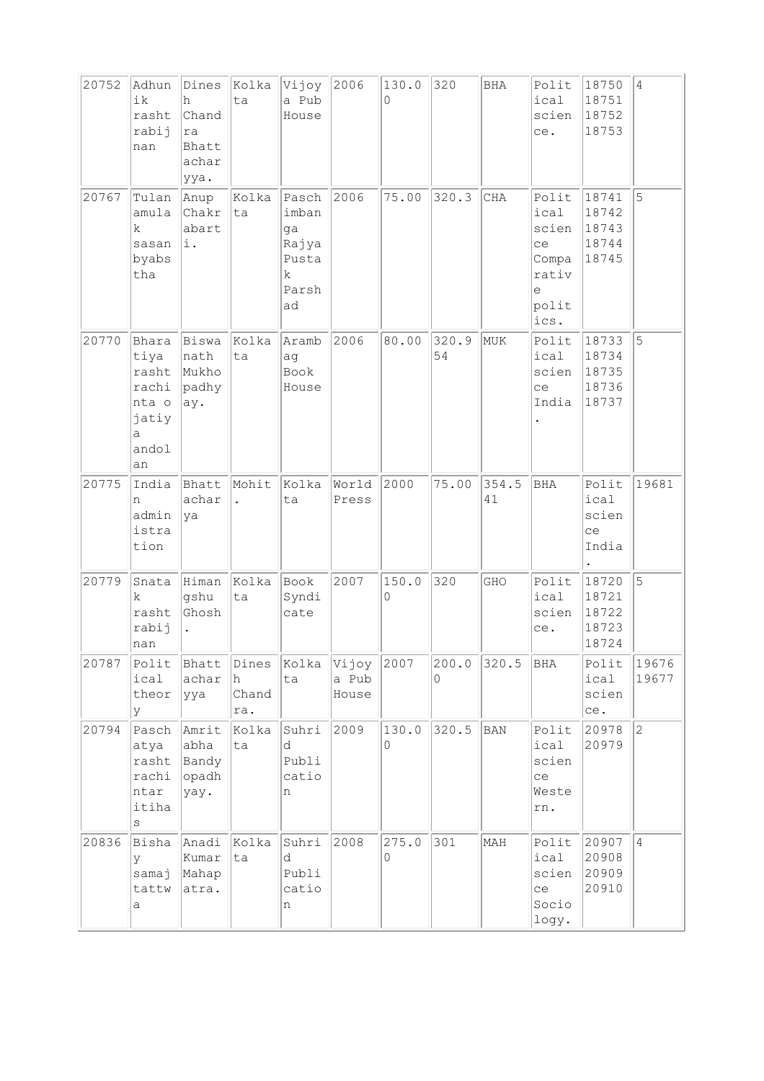| 20752 | Adhun<br>ik<br>rasht<br>rabij<br>nan                                  | Dines<br>h<br>Chand<br>ra<br>Bhatt<br>achar<br>ууа. | Kolka<br>ta                   | Vijoy<br>a Pub<br>House                                    | 2006                    | 130.0<br>0 | 320               | BHA         | Polit<br>ical<br>scien<br>ce.                                        | 18750<br>18751<br>18752<br>18753          | $\overline{4}$ |
|-------|-----------------------------------------------------------------------|-----------------------------------------------------|-------------------------------|------------------------------------------------------------|-------------------------|------------|-------------------|-------------|----------------------------------------------------------------------|-------------------------------------------|----------------|
| 20767 | Tulan<br>amula<br>k.<br>sasan<br>byabs<br>tha                         | Anup<br>Chakr<br>abart<br>i.                        | Kolka<br>ta                   | Pasch<br>imban<br>ga<br>Rajya<br>Pusta<br>k<br>Parsh<br>ad | 2006                    | 75.00      | 320.3             | CHA         | Polit<br>ical<br>scien<br>ce<br>Compa<br>rativ<br>e<br>polit<br>ics. | 18741<br>18742<br>18743<br>18744<br>18745 | 5              |
| 20770 | Bhara<br>tiya<br>rasht<br>rachi<br>nta o<br>jatiy<br>a<br>andol<br>an | Biswa<br>nath<br>Mukho<br>padhy<br>ay.              | Kolka<br>ta                   | Aramb<br>ag<br>Book<br>House                               | 2006                    | 80.00      | 320.9<br>54       | MUK         | Polit<br>ical<br>scien<br>ce<br>India                                | 18733<br>18734<br>18735<br>18736<br>18737 | 5              |
| 20775 | India<br>n<br>admin<br>istra<br>tion                                  | Bhatt<br>achar<br>ya                                | Mohit<br>$\ddot{\phantom{0}}$ | Kolka<br>ta                                                | World<br>Press          | 2000       | 75.00             | 354.5<br>41 | <b>BHA</b>                                                           | Polit<br>ical<br>scien<br>ce<br>India     | 19681          |
| 20779 | Snata<br>k<br>rasht<br>rabij<br>nan                                   | Himan<br>gshu<br>Ghosh                              | Kolka<br>ta                   | Book<br>Syndi<br>cate                                      | 2007                    | 150.0<br>0 | 320               | GHO         | Polit<br>ical<br>scien<br>ce.                                        | 18720<br>18721<br>18722<br>18723<br>18724 | 5              |
| 20787 | Polit<br>ical<br>theor<br>У                                           | Bhatt<br>achar<br>ууа                               | Dines<br>h<br>Chand<br>ra.    | Kolka<br>ta                                                | Vijoy<br>a Pub<br>House | 2007       | 200.0<br>$\Omega$ | 320.5       | BHA                                                                  | Polit<br>ical<br>scien<br>ce.             | 19676<br>19677 |
| 20794 | Pasch<br>atya<br>rasht<br>rachi<br>ntar<br>itiha<br>$\rm s$           | Amrit<br>abha<br>Bandy<br>opadh<br>yay.             | Kolka<br>ta                   | Suhri<br>d<br>Publi<br>catio<br>n                          | 2009                    | 130.0<br>0 | 320.5             | <b>BAN</b>  | Polit<br>ical<br>scien<br>ce<br>Weste<br>rn.                         | 20978<br>20979                            | $ 2\rangle$    |
| 20836 | Bisha<br>y<br>samaj<br>tattw<br>а                                     | Anadi<br>Kumar<br>Mahap<br>atra.                    | Kolka<br>ta                   | Suhri<br>d<br>Publi<br>catio<br>n                          | 2008                    | 275.0<br>0 | 301               | MAH         | Polit<br>ical<br>scien<br>ce<br>Socio<br>logy.                       | 20907<br>20908<br>20909<br>20910          | $\overline{4}$ |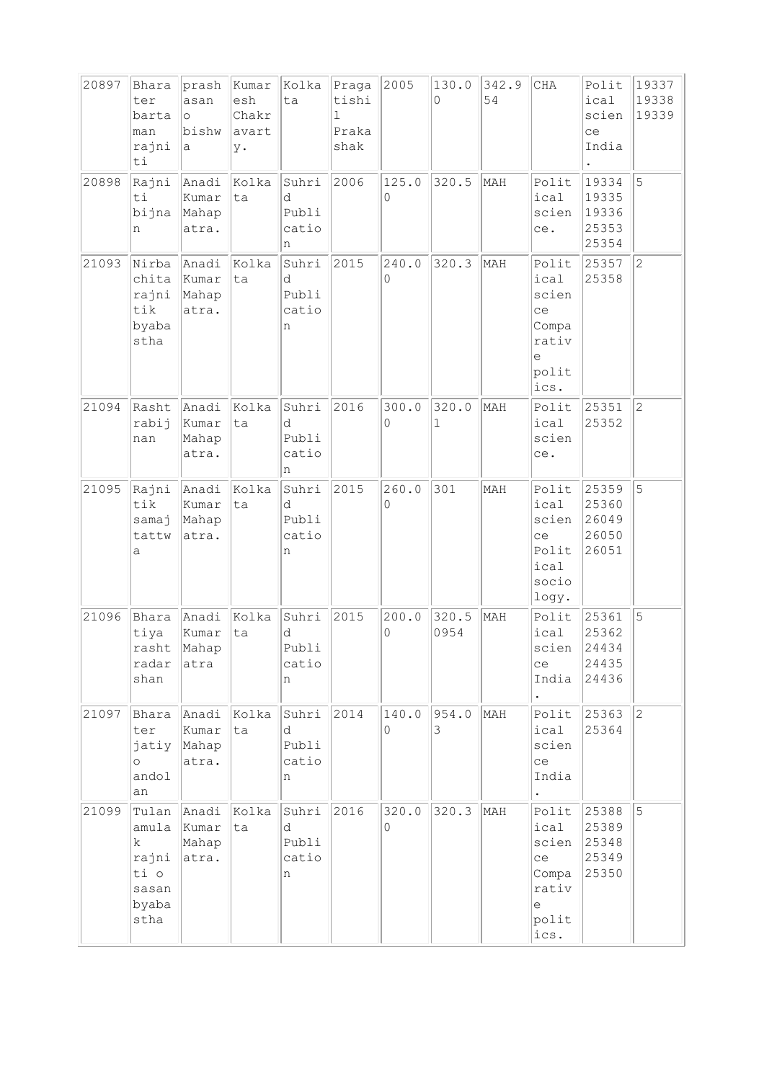| 20897 | Bhara<br>ter<br>barta<br>man<br>rajni<br>ti                               | prash<br>asan<br>$\circ$<br>bishw<br>a | Kumar<br>esh<br>Chakr<br>avart<br>у. | Kolka<br>ta                       | Praga<br>tishi<br>1.<br>Praka<br>shak | 2005       | 130.0<br>$\Omega$    | 342.9<br>54 | $\rm CHA$                                                                                     | Polit<br>ical<br>scien<br>ce<br>India     | 19337<br>19338<br>19339 |
|-------|---------------------------------------------------------------------------|----------------------------------------|--------------------------------------|-----------------------------------|---------------------------------------|------------|----------------------|-------------|-----------------------------------------------------------------------------------------------|-------------------------------------------|-------------------------|
| 20898 | Rajni<br>ti<br>bijna<br>n                                                 | Anadi<br>Kumar<br>Mahap<br>atra.       | Kolka<br>ta                          | Suhri<br>d<br>Publi<br>catio<br>n | 2006                                  | 125.0<br>0 | 320.5                | MAH         | Polit<br>ical<br>scien<br>ce.                                                                 | 19334<br>19335<br>19336<br>25353<br>25354 | 5                       |
| 21093 | Nirba<br>chita<br>rajni<br>tik<br>byaba<br>stha                           | Anadi<br>Kumar<br>Mahap<br>atra.       | Kolka<br>ta                          | Suhri<br>d<br>Publi<br>catio<br>n | 2015                                  | 240.0<br>0 | 320.3                | MAH         | Polit<br>ical<br>scien<br>ce<br>Compa<br>rativ<br>e<br>polit<br>ics.                          | 25357<br>25358                            | $\overline{2}$          |
| 21094 | Rasht<br>rabij<br>nan                                                     | Anadi<br>Kumar<br>Mahap<br>atra.       | Kolka<br>ta                          | Suhri<br>d<br>Publi<br>catio<br>n | 2016                                  | 300.0<br>0 | 320.0<br>$\mathbf 1$ | MAH         | Polit<br>ical<br>scien<br>ce.                                                                 | 25351<br>25352                            | $\overline{2}$          |
| 21095 | Rajni<br>tik<br>samaj<br>tattw<br>а                                       | Anadi<br>Kumar<br>Mahap<br>atra.       | Kolka<br>ta                          | Suhri<br>d<br>Publi<br>catio<br>n | 2015                                  | 260.0<br>0 | 301                  | MAH         | Polit<br>ical<br>scien<br>ce<br>Polit<br>ical<br>socio<br>logy.                               | 25359<br>25360<br>26049<br>26050<br>26051 | 5                       |
| 21096 | Bhara<br>tiya<br>radar<br>shan                                            | Anadi<br>kumar<br>rasht Mahap<br>atra  | Kolka<br>ta                          | Suhri<br>d<br>Publi<br>catio<br>n | 2015                                  | 200.0<br>0 | 320.5<br>0954        | MAH         | Polit<br>ical<br>scien<br>ce<br>India $ 24436$                                                | 25361<br>25362<br>24434<br>24435          | 5                       |
| 21097 | Bhara<br>ter<br>jatiy<br>$\circ$<br>andol<br>an                           | Anadi Kolka<br>Kumar<br>Mahap<br>atra. | ta                                   | Suhri<br>d<br>Publi<br>catio<br>n | 2014                                  | 140.0<br>0 | 954.0<br>3           | MAH         | Polit $ 25363 $<br>ical<br>scien<br>ce<br>India<br>$\bullet$                                  | 25364                                     | $\overline{2}$          |
| 21099 | Tulan<br>amula<br>$\mathbf{k}$<br>rajni<br>ti o<br>sasan<br>byaba<br>stha | Anadi<br>Kumar<br>Mahap<br>atra.       | Kolka<br>ta                          | Suhri<br>d<br>Publi<br>catio<br>n | 2016                                  | 320.0<br>0 | 320.3                | MAH         | Polit $ 25388 $<br>ical<br>scien $ 25348$<br>ce<br>Compa 25350<br>rativ<br>e<br>polit<br>ics. | 25389<br>25349                            | 5                       |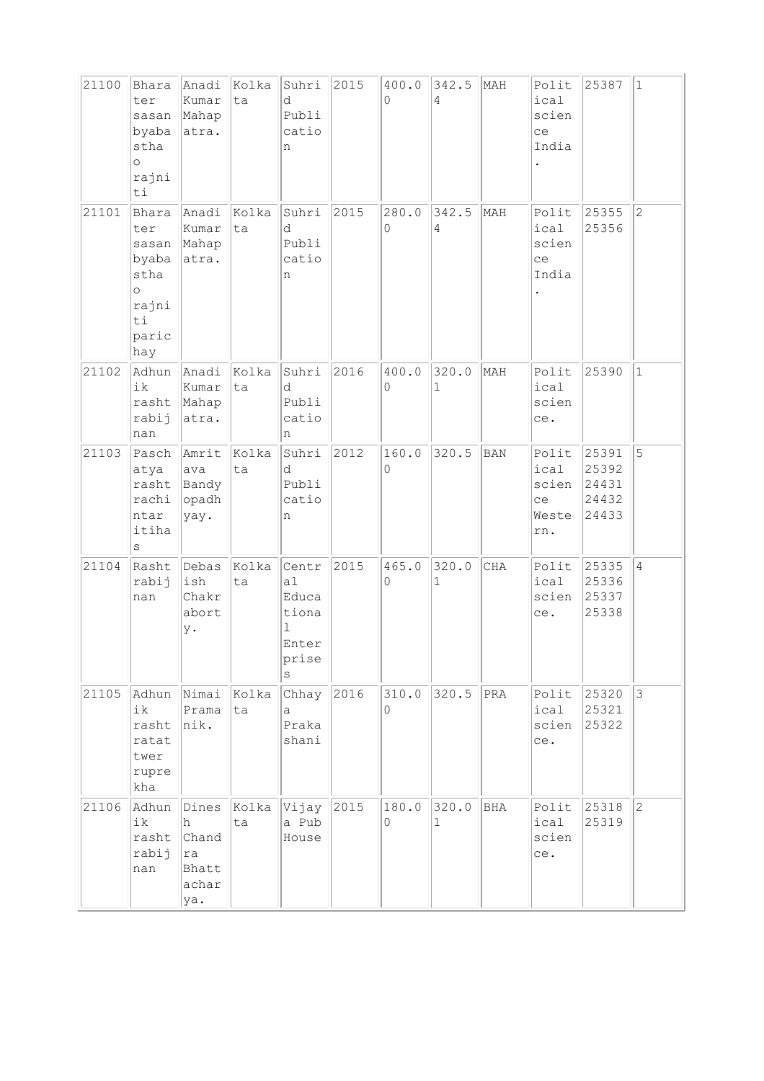| 21100 | Bhara<br>ter<br>sasan<br>byaba<br>stha<br>$\circ$<br>rajni<br>ti                 | Anadi<br>Kumar<br>Mahap<br>atra.                   | Kolka<br>ta | Suhri<br>d<br>Publi<br>catio<br>n                                   | 2015 | 400.0<br>0 | 342.5<br>$\overline{4}$ | MAH            | Polit<br>ical<br>scien<br>ce<br>India        | 25387                                     | $\vert$ 1      |
|-------|----------------------------------------------------------------------------------|----------------------------------------------------|-------------|---------------------------------------------------------------------|------|------------|-------------------------|----------------|----------------------------------------------|-------------------------------------------|----------------|
| 21101 | Bhara<br>ter<br>sasan<br>byaba<br>stha<br>$\circ$<br>rajni<br>ti<br>paric<br>hay | Anadi<br>Kumar<br>Mahap<br>atra.                   | Kolka<br>ta | Suhri<br>d<br>Publi<br>catio<br>n                                   | 2015 | 280.0<br>0 | 342.5<br>$\overline{4}$ | MAH            | Polit<br>ical<br>scien<br>ce<br>India        | 25355<br>25356                            | $\overline{2}$ |
| 21102 | Adhun<br>ik<br>rasht<br>rabij<br>nan                                             | Anadi<br>Kumar<br>Mahap<br>atra.                   | Kolka<br>ta | Suhri<br>d<br>Publi<br>catio<br>n                                   | 2016 | 400.0<br>0 | 320.0<br>$\mathbf{1}$   | MAH            | Polit<br>ical<br>scien<br>ce.                | 25390                                     | $\vert$ 1      |
| 21103 | Pasch Amrit<br>atya<br>rachi<br>ntar<br>itiha<br>$\rm s$                         | ava<br>rasht Bandy<br>$ $ opadh<br>yay.            | Kolka<br>ta | Suhri<br>d<br>Publi<br>catio<br>n                                   | 2012 | 160.0<br>0 | 320.5                   | <b>BAN</b>     | Polit<br>ical<br>scien<br>ce<br>Weste<br>rn. | 25391<br>25392<br>24431<br>24432<br>24433 | 5              |
| 21104 | Rasht<br>rabij<br>nan                                                            | Debas<br>ish<br>Chakr<br>abort<br>у.               | Kolka<br>ta | Centr<br>a1<br>Educa<br>tiona<br>$\mathbf 1$<br>Enter<br>prise<br>S | 2015 | 465.0<br>0 | 320.0<br>$\mathbf{1}$   | CHA            | Polit<br>ical<br>scien<br>ce.                | 25335<br>25336<br>25337<br>25338          | $ 4\rangle$    |
| 21105 | Adhun<br>ik<br>rasht<br>ratat<br>twer<br>rupre<br>kha                            | Nimai<br>Prama<br>nik.                             | Kolka<br>ta | Chhay<br>a<br>Praka<br>shani                                        | 2016 | 310.0<br>0 | 320.5                   | $\mathtt{PRA}$ | Polit<br>ical<br>scien<br>ce.                | 25320<br>25321<br>25322                   | $\overline{3}$ |
| 21106 | Adhun<br>ik<br>rasht<br>rabij<br>nan                                             | Dines<br>h<br>Chand<br>ra<br>Bhatt<br>achar<br>ya. | Kolka<br>ta | Vijay<br>a Pub<br>House                                             | 2015 | 180.0<br>0 | 320.0<br>1              | <b>BHA</b>     | Polit<br>ical<br>scien<br>ce.                | 25318<br>25319                            | $\overline{c}$ |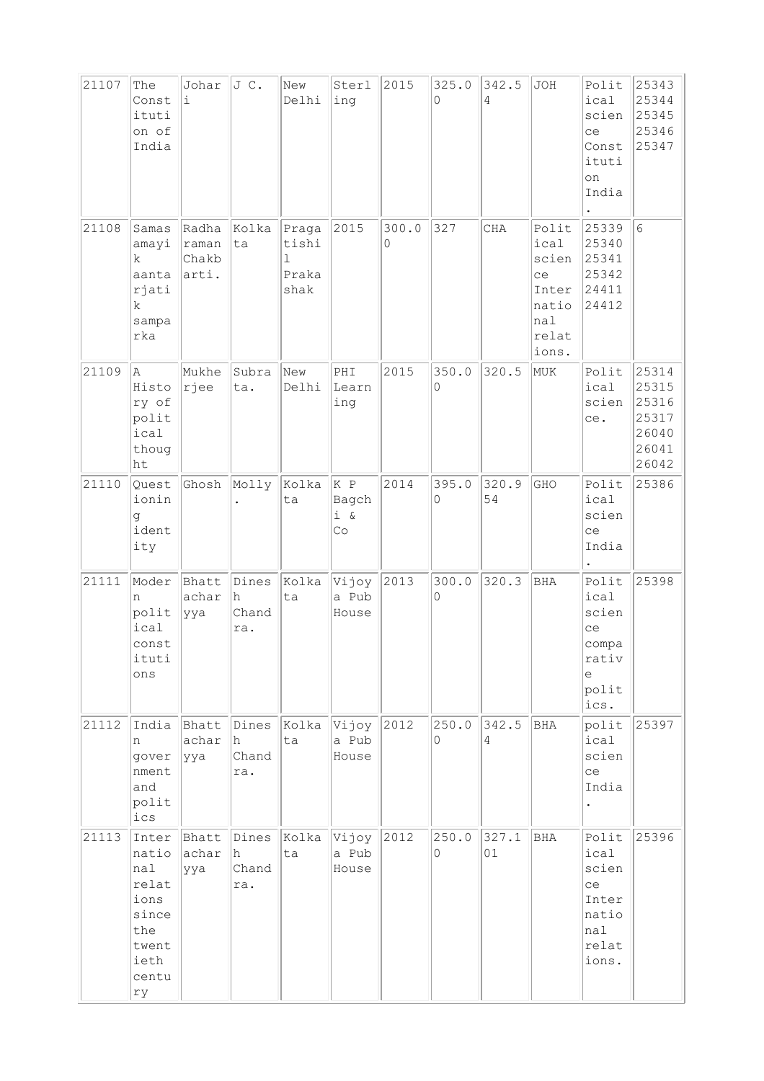| 21107 | The<br>Const<br>ituti<br>on of<br>India                                                | Johar<br>$\dot{1}$                   | JC.                          | New<br>Delhi                                   | Sterl<br>ing              | 2015       | 325.0<br>$\Omega$ | 342.5<br>4  | JOH                                                                     | Polit<br>ical<br>scien<br>ce<br>Const<br>ituti<br>on<br>India           | 25343<br>25344<br>25345<br>25346<br>25347                   |
|-------|----------------------------------------------------------------------------------------|--------------------------------------|------------------------------|------------------------------------------------|---------------------------|------------|-------------------|-------------|-------------------------------------------------------------------------|-------------------------------------------------------------------------|-------------------------------------------------------------|
| 21108 | Samas<br>amayi<br>$\mathbf k$<br>aanta<br>rjati<br>$\mathbf k$<br>sampa<br>rka         | Radha<br>raman<br>Chakb<br>arti.     | Kolka<br>ta                  | Praga<br>tishi<br>$\mathbf 1$<br>Praka<br>shak | 2015                      | 300.0<br>0 | 327               | CHA         | Polit<br>ical<br>scien<br>ce<br>Inter<br>natio<br>nal<br>relat<br>ions. | 25339<br>25340<br>25341<br>25342<br>24411<br>24412                      | $6\phantom{.}6$                                             |
| 21109 | A<br>Histo<br>ry of<br>polit<br>ical<br>thoug<br>ht                                    | Mukhe<br> rjee                       | Subra<br>ta.                 | New<br>Delhi                                   | PHI<br>Learn<br>ing       | 2015       | 350.0<br>$\Omega$ | 320.5       | MUK                                                                     | Polit<br>ical<br>scien<br>ce.                                           | 25314<br>25315<br>25316<br>25317<br>26040<br>26041<br>26042 |
| 21110 | Quest<br>ionin<br>g<br>ident<br>ity                                                    | Ghosh                                | Molly                        | Kolka<br>ta                                    | K P<br>Bagch<br>i &<br>Co | 2014       | 395.0<br>0        | 320.9<br>54 | GHO                                                                     | Polit<br>ical<br>scien<br>ce<br>India                                   | 25386                                                       |
| 21111 | Moder<br>n<br>polit<br>ical<br>const<br>ituti<br>ons                                   | Bhatt<br>achar<br>ууа                | Dines<br>lh.<br>Chand<br>ra. | Kolka<br>ta                                    | Vijoy<br>a Pub<br>House   | 2013       | 300.0<br>0        | 320.3       | <b>BHA</b>                                                              | Polit<br>ical<br>scien<br>ce<br>compa<br>rativ<br>e<br>polit<br>ics.    | 25398                                                       |
| 21112 | India<br>n<br>gover<br>nment<br>and<br>polit<br>ics                                    | Bhatt Dines<br>achar<br><u> </u> yya | h<br>Chand<br>ra.            | Kolka<br>ta                                    | Vijoy<br>a Pub<br>House   | 2012       | 250.0<br>$\Omega$ | 342.5<br>4  | <b>BHA</b>                                                              | polit<br>ical<br>scien<br>ce<br>India                                   | 25397                                                       |
| 21113 | Inter<br>natio<br>nal<br>relat<br>ions<br>since<br>the<br>twent<br>ieth<br>centu<br>rу | Bhatt<br>achar<br>ууа                | Dines<br>lh.<br>Chand<br>ra. | Kolka<br>ta                                    | Vijoy<br>a Pub<br>House   | 2012       | 250.0<br>0        | 327.1<br>01 | BHA                                                                     | Polit<br>ical<br>scien<br>ce<br>Inter<br>natio<br>nal<br>relat<br>ions. | 25396                                                       |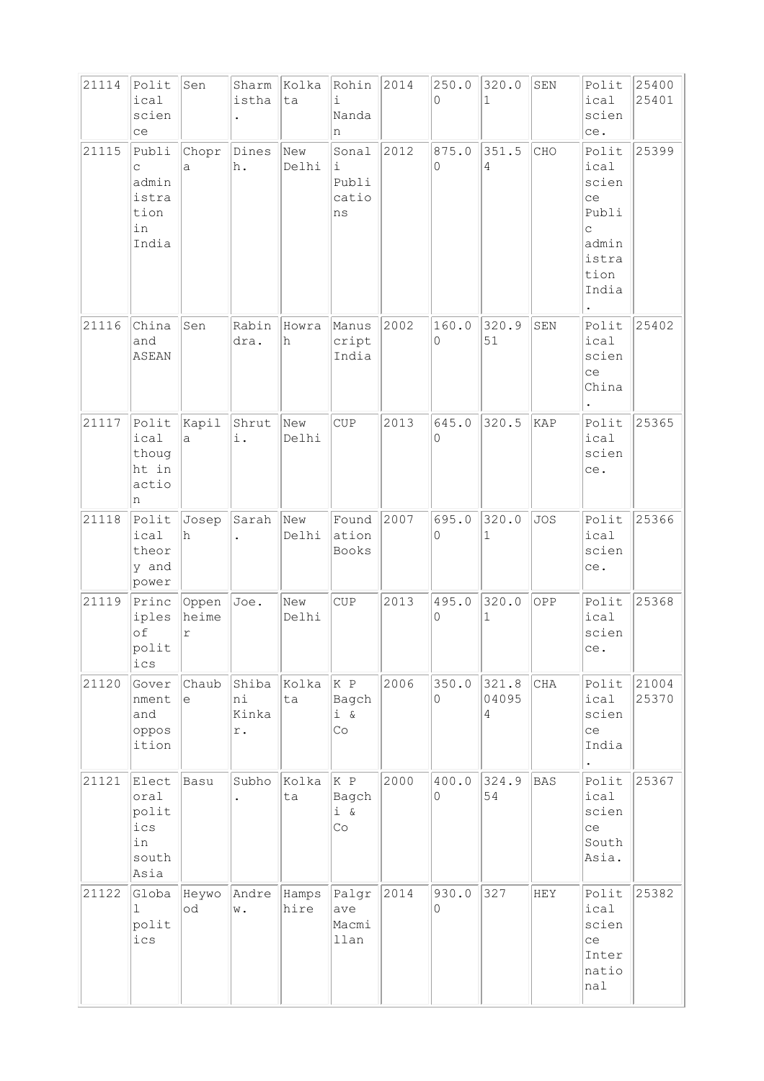| 21114 | Polit          | Sen        | Sharm                | Kolka        | Rohin           | 2014 | 250.0      | 320.0        | SEN        | Polit                | 25400 |
|-------|----------------|------------|----------------------|--------------|-----------------|------|------------|--------------|------------|----------------------|-------|
|       | ical           |            | istha                | ta           | i               |      | 0          | $\mathbf{1}$ |            | ical                 | 25401 |
|       | scien          |            | $\ddot{\phantom{0}}$ |              | Nanda           |      |            |              |            | scien                |       |
|       | ce             |            |                      |              | n               |      |            |              |            | ce.                  |       |
| 21115 | Publi<br>C     | Chopr<br>а | Dines<br>h.          | New<br>Delhi | Sonal<br>i      | 2012 | 875.0<br>0 | 351.5<br>4   | CHO        | Polit<br>ical        | 25399 |
|       | admin          |            |                      |              | Publi           |      |            |              |            | scien                |       |
|       | istra          |            |                      |              | catio           |      |            |              |            | ce                   |       |
|       | tion           |            |                      |              | ns              |      |            |              |            | Publi                |       |
|       | in<br>India    |            |                      |              |                 |      |            |              |            | $\mathsf C$<br>admin |       |
|       |                |            |                      |              |                 |      |            |              |            | istra                |       |
|       |                |            |                      |              |                 |      |            |              |            | tion                 |       |
|       |                |            |                      |              |                 |      |            |              |            | India                |       |
| 21116 | China          | Sen        | Rabin                | Howra        | Manus           | 2002 | 160.0      | 320.9        | SEN        | Polit                | 25402 |
|       | and            |            | dra.                 | h            | cript           |      | 0          | 51           |            | ical                 |       |
|       | ASEAN          |            |                      |              | India           |      |            |              |            | scien                |       |
|       |                |            |                      |              |                 |      |            |              |            | ce                   |       |
|       |                |            |                      |              |                 |      |            |              |            | China                |       |
| 21117 | Polit          | Kapil      | Shrut                | New          | CUP             | 2013 | 645.0      | 320.5        | KAP        | Polit                | 25365 |
|       | ical           | a          | i.                   | Delhi        |                 |      | 0          |              |            | ical                 |       |
|       | thoug<br>ht in |            |                      |              |                 |      |            |              |            | scien                |       |
|       | actio          |            |                      |              |                 |      |            |              |            | ce.                  |       |
|       | n              |            |                      |              |                 |      |            |              |            |                      |       |
| 21118 | Polit          | Josep      | Sarah                | New          | Found           | 2007 | 695.0      | 320.0        | <b>JOS</b> | Polit                | 25366 |
|       | ical<br>theor  | h          |                      | Delhi        | ation<br>Books  |      | 0          | $\mathbf 1$  |            | ical<br>scien        |       |
|       | y and          |            |                      |              |                 |      |            |              |            | ce.                  |       |
|       | power          |            |                      |              |                 |      |            |              |            |                      |       |
| 21119 | Princ          | Oppen      | Joe.                 | New          | CUP             | 2013 | 495.0      | 320.0        | OPP        | Polit                | 25368 |
|       | iples<br>of    | heime<br>r |                      | Delhi        |                 |      | 0          | $\mathbf{1}$ |            | ical<br>scien        |       |
|       | polit          |            |                      |              |                 |      |            |              |            | ce.                  |       |
|       | $ics$          |            |                      |              |                 |      |            |              |            |                      |       |
| 21120 | Gover          | Chaub      | Shiba                | Kolka        | K P             | 2006 | 350.0      | 321.8        | CHA        | Polit                | 21004 |
|       | nment<br>and   | е          | ni<br>Kinka          | ta           | Bagch<br>$i \&$ |      | 0          | 04095<br>4   |            | ical<br>scien        | 25370 |
|       | oppos          |            | r.                   |              | Co              |      |            |              |            | ce                   |       |
|       | ition          |            |                      |              |                 |      |            |              |            | India                |       |
|       |                |            |                      |              |                 |      |            |              |            | $\bullet$            |       |
| 21121 | Elect<br>oral  | Basu       | Subho                | Kolka<br>ta  | K P<br>Bagch    | 2000 | 400.0<br>0 | 324.9<br>54  | <b>BAS</b> | Polit<br>ical        | 25367 |
|       | polit          |            |                      |              | $i \delta$      |      |            |              |            | scien                |       |
|       | ics            |            |                      |              | Co              |      |            |              |            | ce                   |       |
|       | in<br>south    |            |                      |              |                 |      |            |              |            | South<br>Asia.       |       |
|       | Asia           |            |                      |              |                 |      |            |              |            |                      |       |
| 21122 | Globa          | Heywo      | Andre                | Hamps        | Palgr           | 2014 | 930.0      | 327          | HEY        | Polit                | 25382 |
|       | 1              | od         | w.                   | hire         | ave             |      | 0          |              |            | ical                 |       |
|       | polit<br>ics   |            |                      |              | Macmi<br>llan   |      |            |              |            | scien<br>ce          |       |
|       |                |            |                      |              |                 |      |            |              |            | Inter                |       |
|       |                |            |                      |              |                 |      |            |              |            | natio                |       |
|       |                |            |                      |              |                 |      |            |              |            | nal                  |       |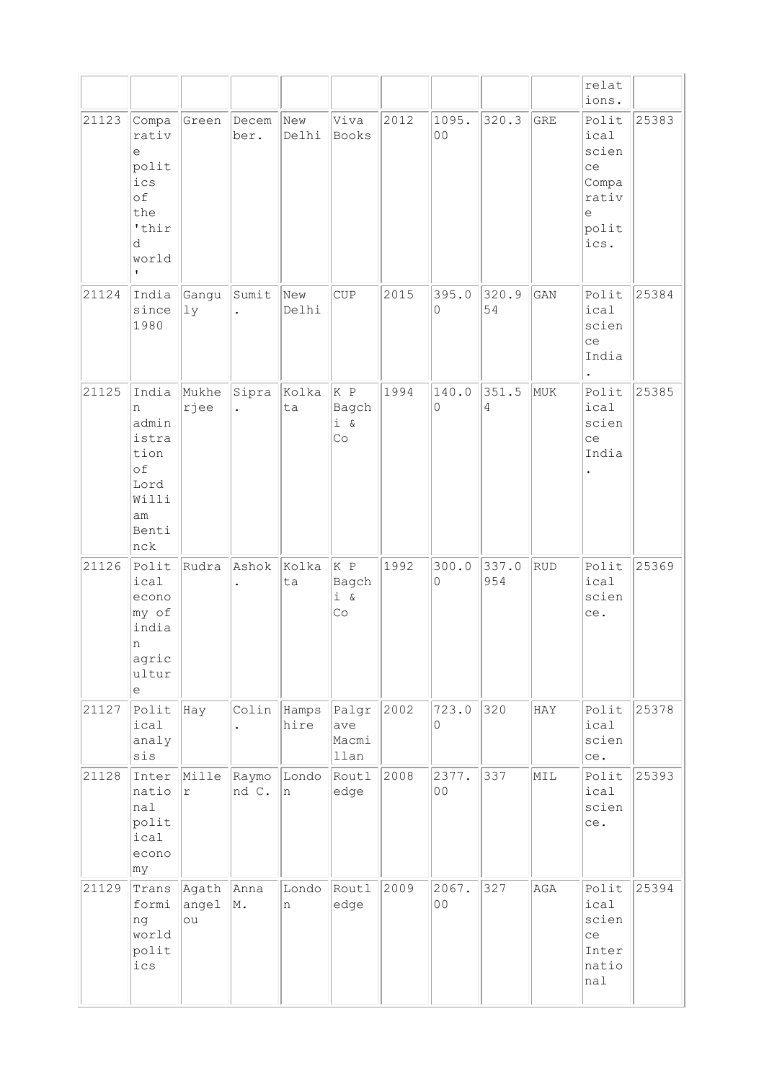|       |                                                                                                             |                      |                               |                     |                                  |      |                         |                         |     | relat<br>ions.                                                           |       |
|-------|-------------------------------------------------------------------------------------------------------------|----------------------|-------------------------------|---------------------|----------------------------------|------|-------------------------|-------------------------|-----|--------------------------------------------------------------------------|-------|
| 21123 | Compa<br>rativ<br>$\epsilon$<br>polit<br>ics<br>of<br>the<br>'thir<br>d<br>world<br>$\mathbf{L}$            | Green                | Decem<br>ber.                 | New<br>Delhi        | Viva<br>Books                    | 2012 | 1095.<br>0 <sub>0</sub> | 320.3                   | GRE | Polit<br>ical<br>scien<br>ce<br>Compa<br>rativ<br>$\in$<br>polit<br>ics. | 25383 |
| 21124 | India<br>since<br>1980                                                                                      | Gangu<br>1y          | Sumit<br>$\ddot{\phantom{0}}$ | New<br>Delhi        | <b>CUP</b>                       | 2015 | 395.0<br>0              | 320.9<br>54             | GAN | Polit<br>ical<br>scien<br>ce<br>India<br>$\ddot{\phantom{0}}$            | 25384 |
| 21125 | India<br>n<br>admin<br>istra<br>tion<br>of<br>Lord<br>Willi<br>am<br>Benti<br>nck                           | Mukhe<br>rjee        | Sipra<br>$\ddot{\phantom{0}}$ | Kolka<br>ta         | K P<br>Bagch<br>$i \&$<br>Co     | 1994 | 140.0<br>0              | 351.5<br>$\overline{4}$ | MUK | Polit<br>ical<br>scien<br>ce<br>India                                    | 25385 |
| 21126 | Polit<br>ical<br>econo<br>my of<br>india<br>n<br>agric<br>ultur<br>$\mathrel{\mathop{\mathrm{e}}\nolimits}$ | Rudra                | Ashok<br>$\ddot{\phantom{0}}$ | Kolka<br>ta         | K P<br>Bagch<br>$i \alpha$<br>Co | 1992 | 300.0<br>0              | 337.0<br>954            | RUD | Polit<br>ical<br>scien<br>ce.                                            | 25369 |
| 21127 | Polit<br>ical<br>analy<br>sis                                                                               | Hay                  | $\ddot{\phantom{0}}$          | Colin Hamps<br>hire | Palgr<br>ave<br>Macmi<br>llan    | 2002 | 723.0<br>0              | 320                     | HAY | Polit<br>ical<br>scien<br>ce.                                            | 25378 |
| 21128 | Inter<br>natio<br>nal<br>polit<br>ical<br>econo<br>my                                                       | Mille<br>$\Upsilon$  | Raymo<br>nd C.                | Londo<br>n          | Routl<br>edge                    | 2008 | 2377.<br>00             | 337                     | MIL | Polit<br>ical<br>scien<br>ce.                                            | 25393 |
| 21129 | Trans<br>formi<br>ng<br>world<br>polit<br>ics                                                               | Agath<br>angel<br>ou | Anna<br>M.                    | Londo<br>n          | Routl<br>edge                    | 2009 | 2067.<br>0 <sub>0</sub> | 327                     | AGA | Polit<br>ical<br>scien<br>ce<br>Inter<br>natio<br>nal                    | 25394 |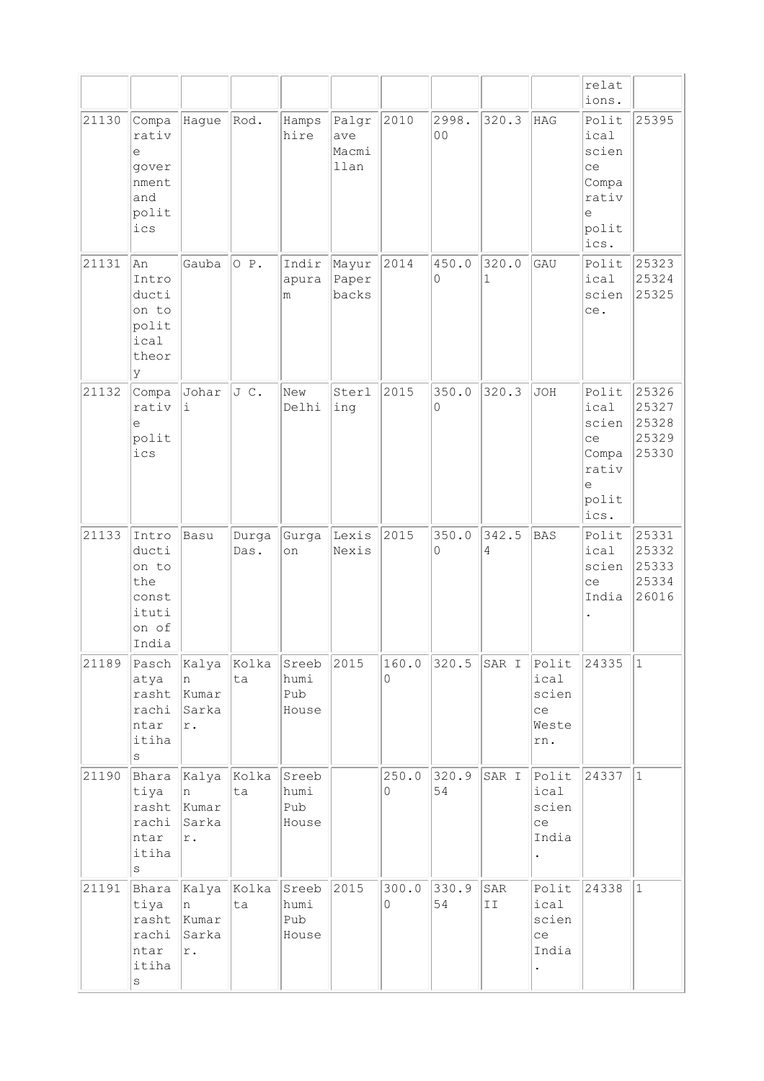|       |                                                                    |                                      |               |                               |                               |            |                         |                       |                                              | relat<br>ions.                                                       |                                           |
|-------|--------------------------------------------------------------------|--------------------------------------|---------------|-------------------------------|-------------------------------|------------|-------------------------|-----------------------|----------------------------------------------|----------------------------------------------------------------------|-------------------------------------------|
| 21130 | Compa<br>rativ<br>е<br>gover<br>nment<br>and<br>polit<br>ics       | Hague                                | Rod.          | Hamps<br>hire                 | Palgr<br>ave<br>Macmi<br>llan | 2010       | 2998.<br>0 <sub>0</sub> | 320.3                 | <b>HAG</b>                                   | Polit<br>ical<br>scien<br>ce<br>Compa<br>rativ<br>e<br>polit<br>ics. | 25395                                     |
| 21131 | An<br>Intro<br>ducti<br>on to<br>polit<br>ical<br>theor<br>У       | Gauba                                | O P.          | Indir<br>apura<br>m           | Mayur<br>Paper<br>backs       | 2014       | 450.0<br>$\Omega$       | 320.0<br>$\mathbf{1}$ | GAU                                          | Polit<br>ical<br>scien<br>ce.                                        | 25323<br>25324<br>25325                   |
| 21132 | Compa<br>rativ<br>e<br>polit<br>ics                                | Johar<br>i                           | JC.           | New<br>Delhi                  | Sterl<br>ing                  | 2015       | 350.0<br>0              | 320.3                 | <b>JOH</b>                                   | Polit<br>ical<br>scien<br>ce<br>Compa<br>rativ<br>e<br>polit<br>ics. | 25326<br>25327<br>25328<br>25329<br>25330 |
| 21133 | Intro<br>ducti<br>on to<br>the<br>const<br>ituti<br>on of<br>India | Basu                                 | Durga<br>Das. | Gurga<br>on                   | Lexis<br>Nexis                | 2015       | 350.0<br>0              | 342.5<br>4            | <b>BAS</b>                                   | Polit<br>ical<br>scien<br>ce<br>India                                | 25331<br>25332<br>25333<br>25334<br>26016 |
| 21189 | Pasch<br>atya<br>rasht<br>rachi<br>ntar<br>itiha<br>S              | Kalya<br>n<br>Kumar<br>Sarka<br>r.   | Kolka<br>ta   | Sreeb<br>humi<br>Pub<br>House | 2015                          | 160.0<br>0 | 320.5                   | SAR I                 | Polit<br>ical<br>scien<br>ce<br>Weste<br>rn. | 24335                                                                | $\vert$ 1                                 |
| 21190 | Bhara<br>tiya<br>rasht<br>rachi<br>ntar<br>itiha<br>S              | Kalya<br>n<br>Kumar<br>Sarka<br>r.   | Kolka<br>ta   | Sreeb<br>humi<br>Pub<br>House |                               | 250.0<br>0 | 320.9<br>54             | SAR I                 | Polit<br>ical<br>scien<br>ce<br>India        | 24337                                                                | $\mathbf{1}$                              |
| 21191 | Bhara<br>tiya<br>rasht<br>rachi<br>ntar<br>itiha<br>$\rm s$        | Kalya<br>In.<br>Kumar<br>Sarka<br>r. | Kolka<br>ta   | Sreeb<br>humi<br>Pub<br>House | 2015                          | 300.0<br>0 | 330.9<br>54             | SAR<br>II             | Polit<br>ical<br>scien<br>ce<br>India        | 24338                                                                | $\mathbf{1}$                              |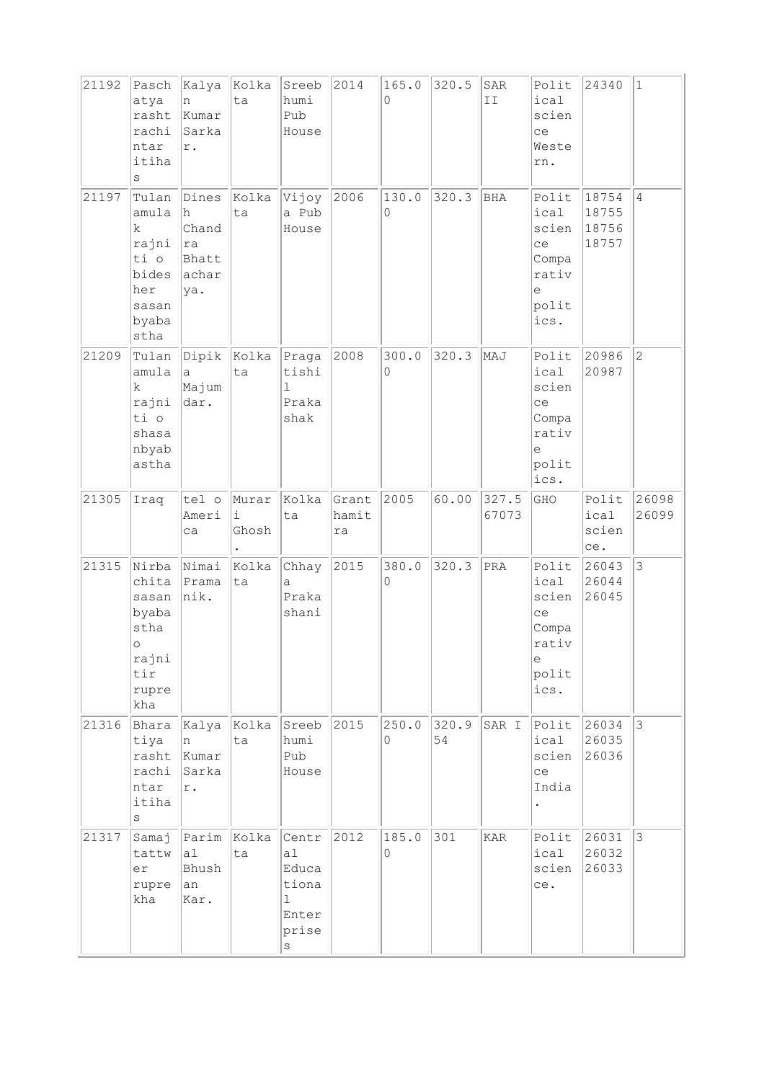| 21192 | Pasch<br>atya<br>rasht<br>rachi<br>ntar<br>itiha<br>S                               | Kalya<br>n<br>Kumar<br>Sarka<br>$\mathtt{r}$ .        | Kolka<br>ta               | Sreeb<br>humi<br>Pub<br>House                                                         | 2014                 | 165.0<br>0 | 320.5       | SAR<br>II      | Polit<br>ical<br>scien<br>ce<br>Weste<br>rn.                             | 24340                            | $\vert$ 1      |
|-------|-------------------------------------------------------------------------------------|-------------------------------------------------------|---------------------------|---------------------------------------------------------------------------------------|----------------------|------------|-------------|----------------|--------------------------------------------------------------------------|----------------------------------|----------------|
| 21197 | Tulan<br>amula<br>k<br>rajni<br>ti o<br>bides<br>her<br>sasan<br>byaba<br>stha      | Dines<br>lh.<br>Chand<br> ra<br>Bhatt<br>achar<br>ya. | Kolka<br>ta               | Vijoy<br>a Pub<br>House                                                               | 2006                 | 130.0<br>0 | 320.3       | BHA            | Polit<br>ical<br>scien<br>ce<br>Compa<br>rativ<br>е<br>polit<br>ics.     | 18754<br>18755<br>18756<br>18757 | $\overline{4}$ |
| 21209 | Tulan<br>amula<br>k.<br>rajni<br>ti o<br>shasa<br>nbyab<br>astha                    | $\mathsf{a}$<br>Majum<br>dar.                         | $ $ Dipik $ $ Kolka<br>ta | Praga<br>tishi<br>1<br>Praka<br>shak                                                  | 2008                 | 300.0<br>0 | 320.3       | MAJ            | Polit<br>ical<br>scien<br>ce<br>Compa<br>rativ<br>e<br>polit<br>ics.     | 20986<br>20987                   | $\overline{c}$ |
| 21305 | Iraq                                                                                | tel o<br>Ameri<br>ca                                  | Murar<br>i<br>Ghosh       | Kolka<br>ta                                                                           | Grant<br>hamit<br>ra | 2005       | 60.00       | 327.5<br>67073 | GHO                                                                      | Polit<br>ical<br>scien<br>ce.    | 26098<br>26099 |
| 21315 | Nirba<br>chita<br>sasan<br>byaba<br>stha<br>$\circ$<br>rajni<br>tir<br>rupre<br>kha | Nimai<br>Prama<br> nik.                               | Kolka<br>ta               | Chhay<br>$\mathsf{a}$<br>Praka<br>shani                                               | 2015                 | 380.0<br>0 | 320.3       | PRA            | Polit<br>ical<br>scien<br>ce<br>Compa<br>rativ<br>$\in$<br>polit<br>ics. | 26043<br>26044<br>26045          | $ 3\rangle$    |
| 21316 | Bhara<br>tiya<br>rasht<br>rachi<br>ntar<br>itiha<br>S                               | Kalya<br>n<br>Kumar<br>Sarka<br>$\mathtt{r}$ .        | Kolka<br>ta               | Sreeb<br>humi<br>Pub<br>House                                                         | 2015                 | 250.0<br>0 | 320.9<br>54 | SAR I          | Polit<br>ical<br>scien<br>ce<br>India                                    | 26034<br>26035<br>26036          | $\vert$ 3      |
| 21317 | Samaj<br>tattw<br>er<br>rupre<br>kha                                                | Parim<br>al<br>Bhush<br>an<br>Kar.                    | Kolka<br>ta               | Centr<br>a <sub>1</sub><br>Educa<br>tiona<br>$\mathbf 1$<br>Enter<br>prise<br>$\rm s$ | 2012                 | 185.0<br>0 | 301         | KAR            | Polit<br>ical<br>scien<br>ce.                                            | 26031<br>26032<br>26033          | $\vert$ 3      |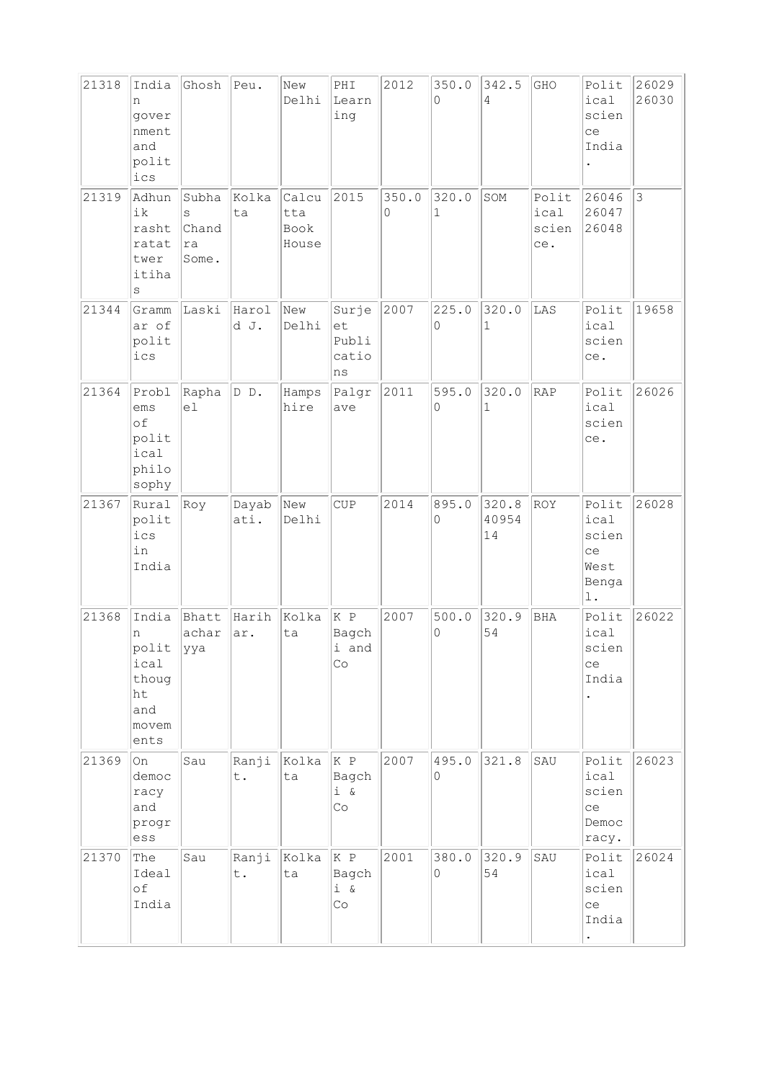| 21318 | India<br>n<br>gover<br>nment<br>and<br>polit<br>ics                     | Ghosh                              | Peu.          | New<br>Delhi                  | PHI<br>Learn<br>ing                       | 2012       | 350.0<br>$\Omega$ | 342.5<br>4            | GHO                           | Polit<br>ical<br>scien<br>ce<br>India                          | 26029<br>26030 |
|-------|-------------------------------------------------------------------------|------------------------------------|---------------|-------------------------------|-------------------------------------------|------------|-------------------|-----------------------|-------------------------------|----------------------------------------------------------------|----------------|
| 21319 | Adhun<br>ik<br>rasht<br>ratat<br>twer<br>itiha<br>$\rm s$               | Subha<br>S<br>Chand<br>ra<br>Some. | Kolka<br>ta   | Calcu<br>tta<br>Book<br>House | 2015                                      | 350.0<br>0 | 320.0<br>1        | SOM                   | Polit<br>ical<br>scien<br>ce. | 26046<br>26047<br>26048                                        | 3              |
| 21344 | Gramm<br>ar of<br>polit<br>ics                                          | Laski                              | Harol<br>d J. | New<br>Delhi                  | Surje<br>et<br>Publi<br>catio<br>ns       | 2007       | 225.0<br>0        | 320.0<br>$\mathbf{1}$ | LAS                           | Polit<br>ical<br>scien<br>ce.                                  | 19658          |
| 21364 | Probl<br>ems<br>of<br>polit<br>ical<br>philo<br>sophy                   | Rapha<br>el                        | DD.           | Hamps<br>hire                 | Palgr<br>ave                              | 2011       | 595.0<br>0        | 320.0<br>1            | <b>RAP</b>                    | Polit<br>ical<br>scien<br>ce.                                  | 26026          |
| 21367 | Rural<br>polit<br>ics<br>in<br>India                                    | Roy                                | Dayab<br>ati. | New<br>Delhi                  | CUP                                       | 2014       | 895.0<br>0        | 320.8<br>40954<br>14  | ROY                           | Polit<br>ical<br>scien<br>ce<br>West<br>Benga<br>$\mathbf 1$ . | 26028          |
| 21368 | India<br>n<br>polit  yya<br>ical<br>thoug<br>ht<br>and<br>movem<br>ents | Bhatt<br>achar                     | Harih<br>ar.  | Kolka<br>ta                   | K P<br>Bagch<br>i and<br>Co               | 2007       | 500.0<br>0        | 320.9<br>54           | <b>BHA</b>                    | Polit<br>ical<br>scien<br>ce<br>India                          | 26022          |
| 21369 | l On<br>democ<br>racy<br>and<br>progr<br>$\mathop{\rm ess}\nolimits$    | Sau                                | Ranji<br>t.   | Kolka<br>ta                   | K P<br>Bagch<br>i &<br>$\mathbb{C} \circ$ | 2007       | 495.0<br>0        | 321.8                 | SAU                           | Polit<br>ical<br>scien<br>ce<br>Democ<br>racy.                 | 26023          |
| 21370 | The<br>Ideal<br>of<br>India                                             | Sau                                | Ranji<br>t.   | Kolka<br>ta                   | K P<br>Bagch<br>$i \&$<br>Co              | 2001       | 380.0<br>$\circ$  | 320.9<br>54           | SAU                           | Polit<br>ical<br>scien<br>ce<br>India                          | 26024          |